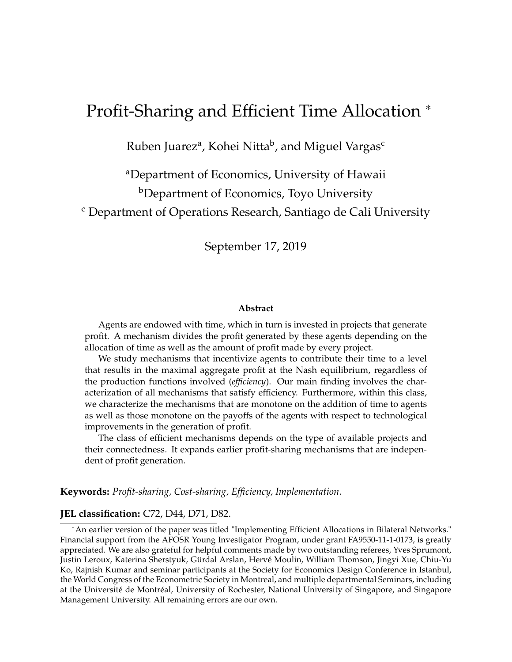# Profit-Sharing and Efficient Time Allocation <sup>∗</sup>

Ruben Juarez $^{\rm a}$ , Kohei Nitta $^{\rm b}$ , and Miguel Vargas $^{\rm c}$ 

# <sup>a</sup>Department of Economics, University of Hawaii <sup>b</sup>Department of Economics, Toyo University <sup>c</sup> Department of Operations Research, Santiago de Cali University

September 17, 2019

#### **Abstract**

Agents are endowed with time, which in turn is invested in projects that generate profit. A mechanism divides the profit generated by these agents depending on the allocation of time as well as the amount of profit made by every project.

We study mechanisms that incentivize agents to contribute their time to a level that results in the maximal aggregate profit at the Nash equilibrium, regardless of the production functions involved (*efficiency*). Our main finding involves the characterization of all mechanisms that satisfy efficiency. Furthermore, within this class, we characterize the mechanisms that are monotone on the addition of time to agents as well as those monotone on the payoffs of the agents with respect to technological improvements in the generation of profit.

The class of efficient mechanisms depends on the type of available projects and their connectedness. It expands earlier profit-sharing mechanisms that are independent of profit generation.

**Keywords:** *Profit-sharing, Cost-sharing, Efficiency, Implementation.*

#### **JEL classification:** C72, D44, D71, D82.

<sup>∗</sup>An earlier version of the paper was titled "Implementing Efficient Allocations in Bilateral Networks." Financial support from the AFOSR Young Investigator Program, under grant FA9550-11-1-0173, is greatly appreciated. We are also grateful for helpful comments made by two outstanding referees, Yves Sprumont, Justin Leroux, Katerina Sherstyuk, Gürdal Arslan, Hervé Moulin, William Thomson, Jingyi Xue, Chiu-Yu Ko, Rajnish Kumar and seminar participants at the Society for Economics Design Conference in Istanbul, the World Congress of the Econometric Society in Montreal, and multiple departmental Seminars, including at the Université de Montréal, University of Rochester, National University of Singapore, and Singapore Management University. All remaining errors are our own.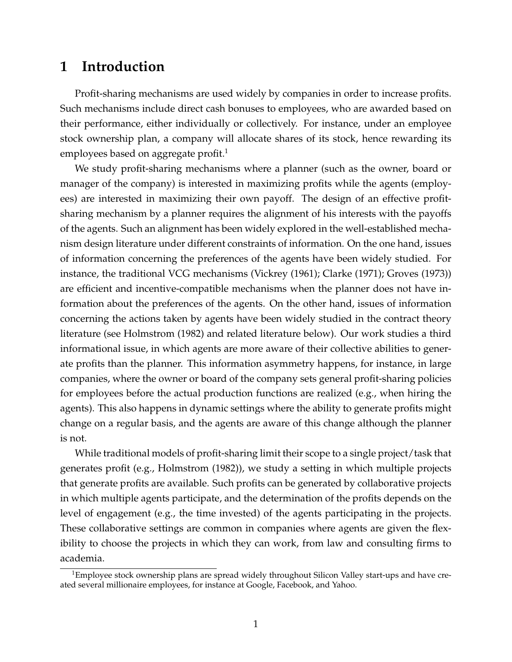## **1 Introduction**

Profit-sharing mechanisms are used widely by companies in order to increase profits. Such mechanisms include direct cash bonuses to employees, who are awarded based on their performance, either individually or collectively. For instance, under an employee stock ownership plan, a company will allocate shares of its stock, hence rewarding its employees based on aggregate profit.<sup>1</sup>

We study profit-sharing mechanisms where a planner (such as the owner, board or manager of the company) is interested in maximizing profits while the agents (employees) are interested in maximizing their own payoff. The design of an effective profitsharing mechanism by a planner requires the alignment of his interests with the payoffs of the agents. Such an alignment has been widely explored in the well-established mechanism design literature under different constraints of information. On the one hand, issues of information concerning the preferences of the agents have been widely studied. For instance, the traditional VCG mechanisms (Vickrey (1961); Clarke (1971); Groves (1973)) are efficient and incentive-compatible mechanisms when the planner does not have information about the preferences of the agents. On the other hand, issues of information concerning the actions taken by agents have been widely studied in the contract theory literature (see Holmstrom (1982) and related literature below). Our work studies a third informational issue, in which agents are more aware of their collective abilities to generate profits than the planner. This information asymmetry happens, for instance, in large companies, where the owner or board of the company sets general profit-sharing policies for employees before the actual production functions are realized (e.g., when hiring the agents). This also happens in dynamic settings where the ability to generate profits might change on a regular basis, and the agents are aware of this change although the planner is not.

While traditional models of profit-sharing limit their scope to a single project/task that generates profit (e.g., Holmstrom (1982)), we study a setting in which multiple projects that generate profits are available. Such profits can be generated by collaborative projects in which multiple agents participate, and the determination of the profits depends on the level of engagement (e.g., the time invested) of the agents participating in the projects. These collaborative settings are common in companies where agents are given the flexibility to choose the projects in which they can work, from law and consulting firms to academia.

<sup>&</sup>lt;sup>1</sup>Employee stock ownership plans are spread widely throughout Silicon Valley start-ups and have created several millionaire employees, for instance at Google, Facebook, and Yahoo.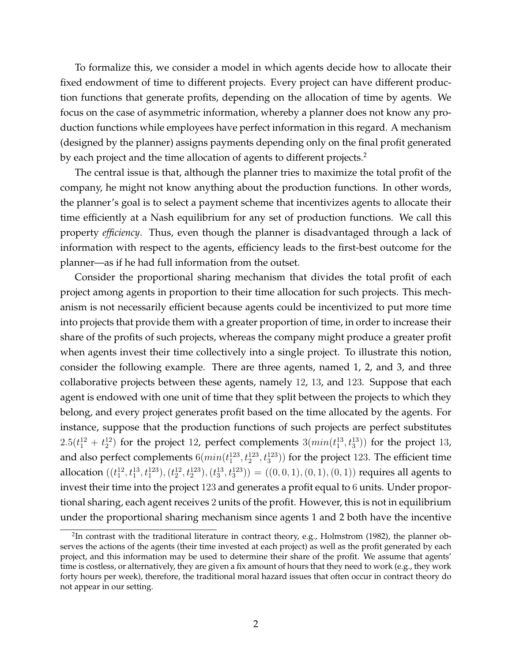To formalize this, we consider a model in which agents decide how to allocate their fixed endowment of time to different projects. Every project can have different production functions that generate profits, depending on the allocation of time by agents. We focus on the case of asymmetric information, whereby a planner does not know any production functions while employees have perfect information in this regard. A mechanism (designed by the planner) assigns payments depending only on the final profit generated by each project and the time allocation of agents to different projects.<sup>2</sup>

The central issue is that, although the planner tries to maximize the total profit of the company, he might not know anything about the production functions. In other words, the planner's goal is to select a payment scheme that incentivizes agents to allocate their time efficiently at a Nash equilibrium for any set of production functions. We call this property *efficiency*. Thus, even though the planner is disadvantaged through a lack of information with respect to the agents, efficiency leads to the first-best outcome for the planner—as if he had full information from the outset.

Consider the proportional sharing mechanism that divides the total profit of each project among agents in proportion to their time allocation for such projects. This mechanism is not necessarily efficient because agents could be incentivized to put more time into projects that provide them with a greater proportion of time, in order to increase their share of the profits of such projects, whereas the company might produce a greater profit when agents invest their time collectively into a single project. To illustrate this notion, consider the following example. There are three agents, named 1, 2, and 3, and three collaborative projects between these agents, namely 12, 13, and 123. Suppose that each agent is endowed with one unit of time that they split between the projects to which they belong, and every project generates profit based on the time allocated by the agents. For instance, suppose that the production functions of such projects are perfect substitutes  $2.5(t_1^{12} + t_2^{12})$  for the project 12, perfect complements  $3(min(t_1^{13}, t_3^{13}))$  for the project 13, and also perfect complements  $6(min(t_1^{123}, t_2^{123}, t_3^{123}))$  for the project 123. The efficient time allocation  $((t_1^{12}, t_1^{13}, t_1^{123}), (t_2^{12}, t_2^{123}), (t_3^{13}, t_3^{123})) = ((0, 0, 1), (0, 1), (0, 1))$  requires all agents to invest their time into the project 123 and generates a profit equal to 6 units. Under proportional sharing, each agent receives 2 units of the profit. However, this is not in equilibrium under the proportional sharing mechanism since agents 1 and 2 both have the incentive

<sup>&</sup>lt;sup>2</sup>In contrast with the traditional literature in contract theory, e.g., Holmstrom (1982), the planner observes the actions of the agents (their time invested at each project) as well as the profit generated by each project, and this information may be used to determine their share of the profit. We assume that agents' time is costless, or alternatively, they are given a fix amount of hours that they need to work (e.g., they work forty hours per week), therefore, the traditional moral hazard issues that often occur in contract theory do not appear in our setting.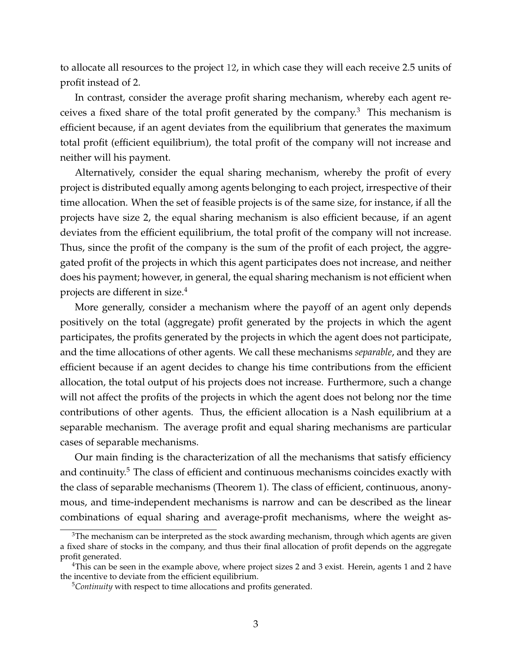to allocate all resources to the project 12, in which case they will each receive 2.5 units of profit instead of 2.

In contrast, consider the average profit sharing mechanism, whereby each agent receives a fixed share of the total profit generated by the company.<sup>3</sup> This mechanism is efficient because, if an agent deviates from the equilibrium that generates the maximum total profit (efficient equilibrium), the total profit of the company will not increase and neither will his payment.

Alternatively, consider the equal sharing mechanism, whereby the profit of every project is distributed equally among agents belonging to each project, irrespective of their time allocation. When the set of feasible projects is of the same size, for instance, if all the projects have size 2, the equal sharing mechanism is also efficient because, if an agent deviates from the efficient equilibrium, the total profit of the company will not increase. Thus, since the profit of the company is the sum of the profit of each project, the aggregated profit of the projects in which this agent participates does not increase, and neither does his payment; however, in general, the equal sharing mechanism is not efficient when projects are different in size.<sup>4</sup>

More generally, consider a mechanism where the payoff of an agent only depends positively on the total (aggregate) profit generated by the projects in which the agent participates, the profits generated by the projects in which the agent does not participate, and the time allocations of other agents. We call these mechanisms *separable*, and they are efficient because if an agent decides to change his time contributions from the efficient allocation, the total output of his projects does not increase. Furthermore, such a change will not affect the profits of the projects in which the agent does not belong nor the time contributions of other agents. Thus, the efficient allocation is a Nash equilibrium at a separable mechanism. The average profit and equal sharing mechanisms are particular cases of separable mechanisms.

Our main finding is the characterization of all the mechanisms that satisfy efficiency and continuity.<sup>5</sup> The class of efficient and continuous mechanisms coincides exactly with the class of separable mechanisms (Theorem 1). The class of efficient, continuous, anonymous, and time-independent mechanisms is narrow and can be described as the linear combinations of equal sharing and average-profit mechanisms, where the weight as-

 $3$ The mechanism can be interpreted as the stock awarding mechanism, through which agents are given a fixed share of stocks in the company, and thus their final allocation of profit depends on the aggregate profit generated.

<sup>4</sup>This can be seen in the example above, where project sizes 2 and 3 exist. Herein, agents 1 and 2 have the incentive to deviate from the efficient equilibrium.

<sup>5</sup>*Continuity* with respect to time allocations and profits generated.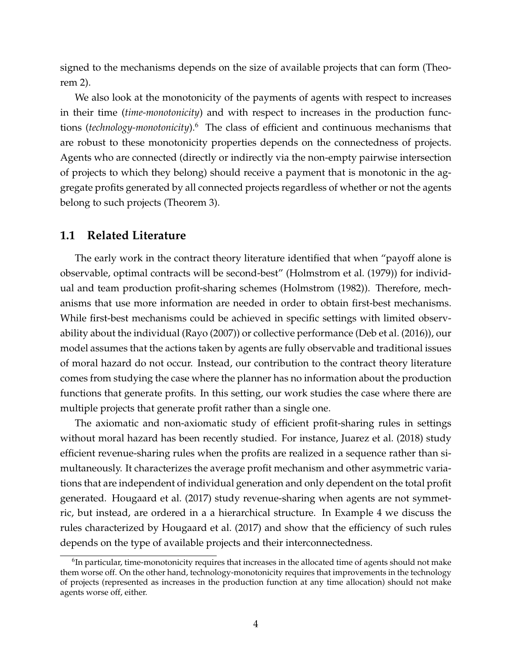signed to the mechanisms depends on the size of available projects that can form (Theorem 2).

We also look at the monotonicity of the payments of agents with respect to increases in their time (*time-monotonicity*) and with respect to increases in the production functions (*technology-monotonicity*).<sup>6</sup> The class of efficient and continuous mechanisms that are robust to these monotonicity properties depends on the connectedness of projects. Agents who are connected (directly or indirectly via the non-empty pairwise intersection of projects to which they belong) should receive a payment that is monotonic in the aggregate profits generated by all connected projects regardless of whether or not the agents belong to such projects (Theorem 3).

### **1.1 Related Literature**

The early work in the contract theory literature identified that when "payoff alone is observable, optimal contracts will be second-best" (Holmstrom et al. (1979)) for individual and team production profit-sharing schemes (Holmstrom (1982)). Therefore, mechanisms that use more information are needed in order to obtain first-best mechanisms. While first-best mechanisms could be achieved in specific settings with limited observability about the individual (Rayo (2007)) or collective performance (Deb et al. (2016)), our model assumes that the actions taken by agents are fully observable and traditional issues of moral hazard do not occur. Instead, our contribution to the contract theory literature comes from studying the case where the planner has no information about the production functions that generate profits. In this setting, our work studies the case where there are multiple projects that generate profit rather than a single one.

The axiomatic and non-axiomatic study of efficient profit-sharing rules in settings without moral hazard has been recently studied. For instance, Juarez et al. (2018) study efficient revenue-sharing rules when the profits are realized in a sequence rather than simultaneously. It characterizes the average profit mechanism and other asymmetric variations that are independent of individual generation and only dependent on the total profit generated. Hougaard et al. (2017) study revenue-sharing when agents are not symmetric, but instead, are ordered in a a hierarchical structure. In Example 4 we discuss the rules characterized by Hougaard et al. (2017) and show that the efficiency of such rules depends on the type of available projects and their interconnectedness.

 $^6$ In particular, time-monotonicity requires that increases in the allocated time of agents should not make them worse off. On the other hand, technology-monotonicity requires that improvements in the technology of projects (represented as increases in the production function at any time allocation) should not make agents worse off, either.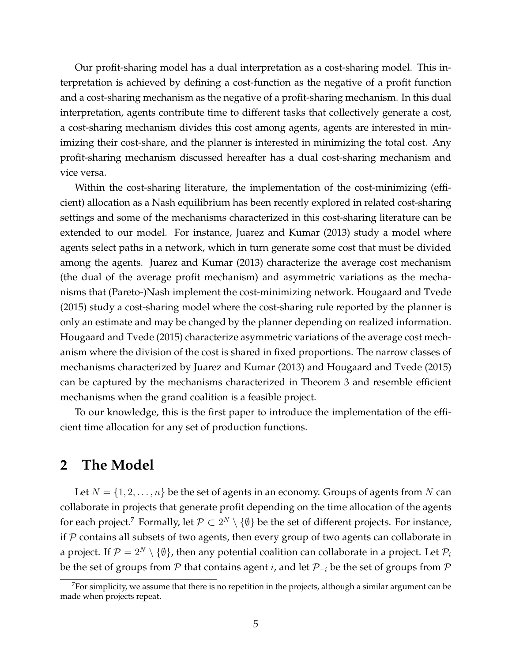Our profit-sharing model has a dual interpretation as a cost-sharing model. This interpretation is achieved by defining a cost-function as the negative of a profit function and a cost-sharing mechanism as the negative of a profit-sharing mechanism. In this dual interpretation, agents contribute time to different tasks that collectively generate a cost, a cost-sharing mechanism divides this cost among agents, agents are interested in minimizing their cost-share, and the planner is interested in minimizing the total cost. Any profit-sharing mechanism discussed hereafter has a dual cost-sharing mechanism and vice versa.

Within the cost-sharing literature, the implementation of the cost-minimizing (efficient) allocation as a Nash equilibrium has been recently explored in related cost-sharing settings and some of the mechanisms characterized in this cost-sharing literature can be extended to our model. For instance, Juarez and Kumar (2013) study a model where agents select paths in a network, which in turn generate some cost that must be divided among the agents. Juarez and Kumar (2013) characterize the average cost mechanism (the dual of the average profit mechanism) and asymmetric variations as the mechanisms that (Pareto-)Nash implement the cost-minimizing network. Hougaard and Tvede (2015) study a cost-sharing model where the cost-sharing rule reported by the planner is only an estimate and may be changed by the planner depending on realized information. Hougaard and Tvede (2015) characterize asymmetric variations of the average cost mechanism where the division of the cost is shared in fixed proportions. The narrow classes of mechanisms characterized by Juarez and Kumar (2013) and Hougaard and Tvede (2015) can be captured by the mechanisms characterized in Theorem 3 and resemble efficient mechanisms when the grand coalition is a feasible project.

To our knowledge, this is the first paper to introduce the implementation of the efficient time allocation for any set of production functions.

### **2 The Model**

Let  $N = \{1, 2, ..., n\}$  be the set of agents in an economy. Groups of agents from N can collaborate in projects that generate profit depending on the time allocation of the agents for each project. $^7$  Formally, let  $\mathcal{P}\subset 2^N\setminus\{\emptyset\}$  be the set of different projects. For instance, if  $P$  contains all subsets of two agents, then every group of two agents can collaborate in a project. If  $\mathcal{P} = 2^N \setminus \{\emptyset\}$ , then any potential coalition can collaborate in a project. Let  $\mathcal{P}_i$ be the set of groups from P that contains agent i, and let  $\mathcal{P}_{-i}$  be the set of groups from P

 $7$ For simplicity, we assume that there is no repetition in the projects, although a similar argument can be made when projects repeat.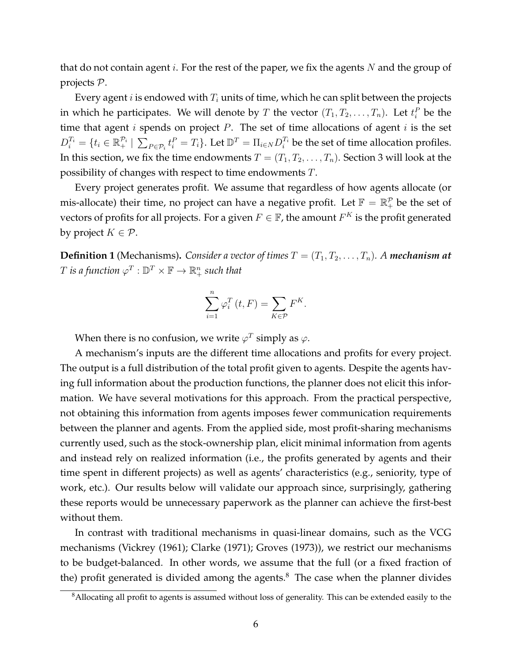that do not contain agent *i*. For the rest of the paper, we fix the agents  $N$  and the group of projects P.

Every agent *i* is endowed with  $T_i$  units of time, which he can split between the projects in which he participates. We will denote by T the vector  $(T_1, T_2, \ldots, T_n)$ . Let  $t_i^P$  be the time that agent  $i$  spends on project  $P$ . The set of time allocations of agent  $i$  is the set  $D_i^{T_i} = \{t_i \in \mathbb{R}_+^{\mathcal{P}_i} \mid \sum_{P \in \mathcal{P}_i} t_i^P = T_i\}$ . Let  $\mathbb{D}^T = \Pi_{i \in N} D_i^{T_i}$  be the set of time allocation profiles. In this section, we fix the time endowments  $T = (T_1, T_2, \ldots, T_n)$ . Section 3 will look at the possibility of changes with respect to time endowments T.

Every project generates profit. We assume that regardless of how agents allocate (or mis-allocate) their time, no project can have a negative profit. Let  $\mathbb{F} = \mathbb{R}_+^{\mathcal{P}}$  be the set of vectors of profits for all projects. For a given  $F \in \mathbb{F}$ , the amount  $F^K$  is the profit generated by project  $K \in \mathcal{P}$ .

**Definition 1** (Mechanisms). *Consider a vector of times*  $T = (T_1, T_2, \ldots, T_n)$ *. A mechanism at* T is a function  $\varphi^T: \mathbb{D}^T \times \mathbb{F} \to \mathbb{R}^n_+$  such that

$$
\sum_{i=1}^{n} \varphi_i^T(t, F) = \sum_{K \in \mathcal{P}} F^K.
$$

When there is no confusion, we write  $\varphi^T$  simply as  $\varphi$ .

A mechanism's inputs are the different time allocations and profits for every project. The output is a full distribution of the total profit given to agents. Despite the agents having full information about the production functions, the planner does not elicit this information. We have several motivations for this approach. From the practical perspective, not obtaining this information from agents imposes fewer communication requirements between the planner and agents. From the applied side, most profit-sharing mechanisms currently used, such as the stock-ownership plan, elicit minimal information from agents and instead rely on realized information (i.e., the profits generated by agents and their time spent in different projects) as well as agents' characteristics (e.g., seniority, type of work, etc.). Our results below will validate our approach since, surprisingly, gathering these reports would be unnecessary paperwork as the planner can achieve the first-best without them.

In contrast with traditional mechanisms in quasi-linear domains, such as the VCG mechanisms (Vickrey (1961); Clarke (1971); Groves (1973)), we restrict our mechanisms to be budget-balanced. In other words, we assume that the full (or a fixed fraction of the) profit generated is divided among the agents.<sup>8</sup> The case when the planner divides

<sup>&</sup>lt;sup>8</sup>Allocating all profit to agents is assumed without loss of generality. This can be extended easily to the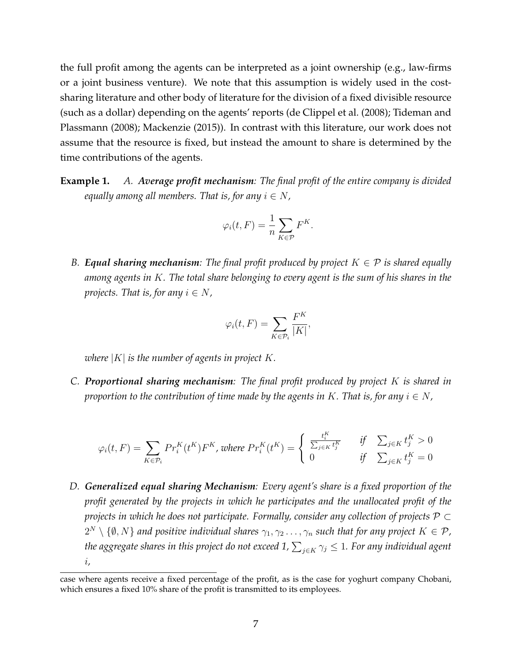the full profit among the agents can be interpreted as a joint ownership (e.g., law-firms or a joint business venture). We note that this assumption is widely used in the costsharing literature and other body of literature for the division of a fixed divisible resource (such as a dollar) depending on the agents' reports (de Clippel et al. (2008); Tideman and Plassmann (2008); Mackenzie (2015)). In contrast with this literature, our work does not assume that the resource is fixed, but instead the amount to share is determined by the time contributions of the agents.

**Example 1.** *A. Average profit mechanism: The final profit of the entire company is divided equally among all members. That is, for any*  $i \in N$ ,

$$
\varphi_i(t, F) = \frac{1}{n} \sum_{K \in \mathcal{P}} F^K.
$$

*B. Equal sharing mechanism: The final profit produced by project*  $K \in \mathcal{P}$  *is shared equally among agents in* K*. The total share belonging to every agent is the sum of his shares in the projects. That is, for any*  $i \in N$ *,* 

$$
\varphi_i(t, F) = \sum_{K \in \mathcal{P}_i} \frac{F^K}{|K|},
$$

*where*  $|K|$  *is the number of agents in project*  $K$ *.* 

*C. Proportional sharing mechanism: The final profit produced by project* K *is shared in proportion to the contribution of time made by the agents in* K. That is, for any  $i \in N$ ,

$$
\varphi_i(t, F) = \sum_{K \in \mathcal{P}_i} Pr_i^K(t^K) F^K, \text{ where } Pr_i^K(t^K) = \begin{cases} \frac{t_i^K}{\sum_{j \in K} t_j^K} & \text{if } \sum_{j \in K} t_j^K > 0\\ 0 & \text{if } \sum_{j \in K} t_j^K = 0 \end{cases}
$$

*D. Generalized equal sharing Mechanism: Every agent's share is a fixed proportion of the profit generated by the projects in which he participates and the unallocated profit of the projects in which he does not participate. Formally, consider any collection of projects*  $P$  ⊂  $2^N\setminus\{\emptyset,N\}$  and positive individual shares  $\gamma_1,\gamma_2\dots,\gamma_n$  such that for any project  $K\in\mathcal{P}$  , the aggregate shares in this project do not exceed 1,  $\sum_{j\in K}\gamma_j\leq 1.$  For any individual agent i*,*

case where agents receive a fixed percentage of the profit, as is the case for yoghurt company Chobani, which ensures a fixed 10% share of the profit is transmitted to its employees.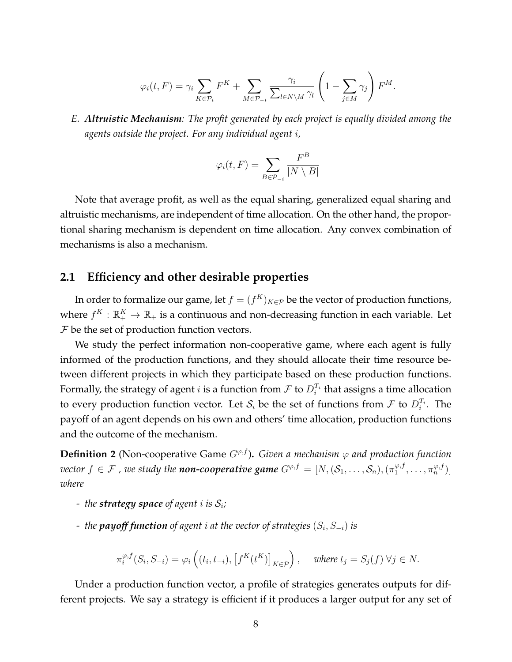$$
\varphi_i(t,F) = \gamma_i \sum_{K \in \mathcal{P}_i} F^K + \sum_{M \in \mathcal{P}_{-i}} \frac{\gamma_i}{\sum_{l \in N \setminus M} \gamma_l} \left(1 - \sum_{j \in M} \gamma_j\right) F^M.
$$

*E. Altruistic Mechanism: The profit generated by each project is equally divided among the agents outside the project. For any individual agent* i*,*

$$
\varphi_i(t, F) = \sum_{B \in \mathcal{P}_{-i}} \frac{F^B}{|N \setminus B|}
$$

Note that average profit, as well as the equal sharing, generalized equal sharing and altruistic mechanisms, are independent of time allocation. On the other hand, the proportional sharing mechanism is dependent on time allocation. Any convex combination of mechanisms is also a mechanism.

#### **2.1 Efficiency and other desirable properties**

In order to formalize our game, let  $f = (f^K)_{K \in \mathcal{P}}$  be the vector of production functions, where  $f^K : \mathbb{R}_+^K \to \mathbb{R}_+$  is a continuous and non-decreasing function in each variable. Let  $F$  be the set of production function vectors.

We study the perfect information non-cooperative game, where each agent is fully informed of the production functions, and they should allocate their time resource between different projects in which they participate based on these production functions. Formally, the strategy of agent  $i$  is a function from  ${\cal F}$  to  $D_i^{T_i}$  that assigns a time allocation to every production function vector. Let  $\mathcal{S}_i$  be the set of functions from  $\mathcal{F}$  to  $D_i^{T_i}$ . The payoff of an agent depends on his own and others' time allocation, production functions and the outcome of the mechanism.

**Definition 2** (Non-cooperative Game  $G^{\varphi,f}$ ). *Given a mechanism*  $\varphi$  *and production function*  $\emph{vector $f\in\mathcal{F}$}$  , we study the  $\emph{non-cooperative game $G^{\varphi,f}=[N,( \mathcal{S}_1,\ldots, \mathcal{S}_n)$,} (\pi_1^{\varphi,f})^T$$  $\binom{\varphi,f}{1},\ldots,\binom{\varphi,f}{n}$ *where*

- the  $strategy$   $space$  of agent  $i$  is  $\mathcal{S}_i$ ;
- *- the payoff function of agent* i *at the vector of strategies* (S<sup>i</sup> , S<sup>−</sup>i) *is*

$$
\pi_i^{\varphi,f}(S_i, S_{-i}) = \varphi_i\left((t_i, t_{-i}), \left[f^K(t^K)\right]_{K \in \mathcal{P}}\right), \quad \text{where } t_j = S_j(f) \,\forall j \in N.
$$

Under a production function vector, a profile of strategies generates outputs for different projects. We say a strategy is efficient if it produces a larger output for any set of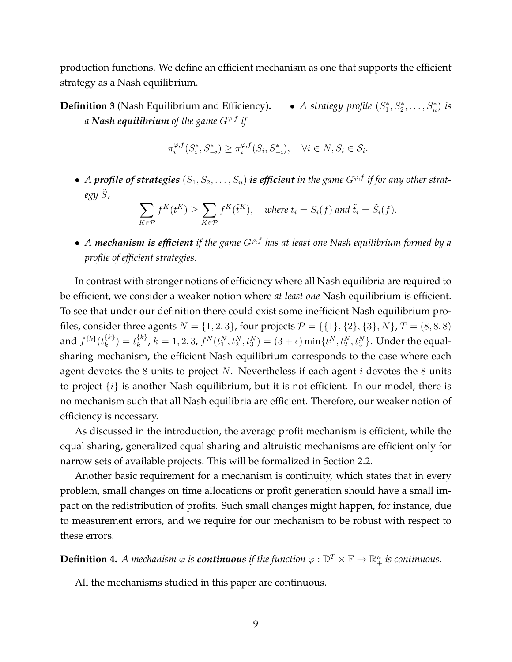production functions. We define an efficient mechanism as one that supports the efficient strategy as a Nash equilibrium.

**Definition 3** (Nash Equilibrium and Efficiency).  $S_1^*, S_2^*, \ldots, S_n^*$ ) *is a Nash equilibrium* of the game  $G^{\varphi,f}$  if

$$
\pi_i^{\varphi,f}(S_i^*, S_{-i}^*) \ge \pi_i^{\varphi,f}(S_i, S_{-i}^*), \quad \forall i \in N, S_i \in \mathcal{S}_i.
$$

• A *profile of strategies*  $(S_1, S_2, \ldots, S_n)$  *is efficient in the game G<sup>* $\varphi$ *,f if for any other strat-*</sup> *egy* S˜*,*

$$
\sum_{K \in \mathcal{P}} f^K(t^K) \ge \sum_{K \in \mathcal{P}} f^K(\tilde{t}^K), \quad \text{where } t_i = S_i(f) \text{ and } \tilde{t}_i = \tilde{S}_i(f).
$$

• *A mechanism is efficient if the game*  $G^{\varphi,f}$  *has at least one Nash equilibrium formed by a profile of efficient strategies.*

In contrast with stronger notions of efficiency where all Nash equilibria are required to be efficient, we consider a weaker notion where *at least one* Nash equilibrium is efficient. To see that under our definition there could exist some inefficient Nash equilibrium profiles, consider three agents  $N = \{1, 2, 3\}$ , four projects  $P = \{\{1\}, \{2\}, \{3\}, N\}$ ,  $T = (8, 8, 8)$ and  $f^{\{k\}}(t_k^{\{k\}})$  $\binom{\{k\}}{k} = t\binom{\{k\}}{k}$  $\{k^{k}\},\, k=1,2,3,\, f^N(t^N_1,t^N_2,t^N_3)=(3+\epsilon)\min\{t^N_1,t^N_2,t^N_3\}.$  Under the equalsharing mechanism, the efficient Nash equilibrium corresponds to the case where each agent devotes the 8 units to project N. Nevertheless if each agent  $i$  devotes the 8 units to project  $\{i\}$  is another Nash equilibrium, but it is not efficient. In our model, there is no mechanism such that all Nash equilibria are efficient. Therefore, our weaker notion of efficiency is necessary.

As discussed in the introduction, the average profit mechanism is efficient, while the equal sharing, generalized equal sharing and altruistic mechanisms are efficient only for narrow sets of available projects. This will be formalized in Section 2.2.

Another basic requirement for a mechanism is continuity, which states that in every problem, small changes on time allocations or profit generation should have a small impact on the redistribution of profits. Such small changes might happen, for instance, due to measurement errors, and we require for our mechanism to be robust with respect to these errors.

**Definition 4.** A mechanism  $\varphi$  is **continuous** if the function  $\varphi : \mathbb{D}^T \times \mathbb{F} \to \mathbb{R}^n_+$  is continuous.

All the mechanisms studied in this paper are continuous.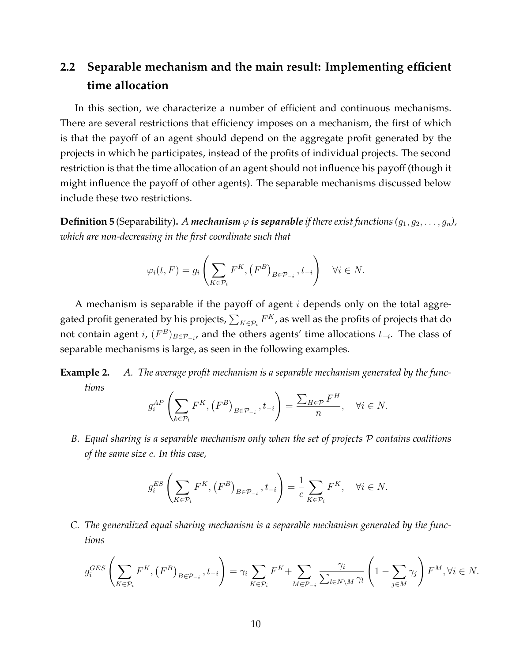# **2.2 Separable mechanism and the main result: Implementing efficient time allocation**

In this section, we characterize a number of efficient and continuous mechanisms. There are several restrictions that efficiency imposes on a mechanism, the first of which is that the payoff of an agent should depend on the aggregate profit generated by the projects in which he participates, instead of the profits of individual projects. The second restriction is that the time allocation of an agent should not influence his payoff (though it might influence the payoff of other agents). The separable mechanisms discussed below include these two restrictions.

**Definition 5** (Separability). *A* mechanism  $\varphi$  is separable if there exist functions  $(g_1, g_2, \ldots, g_n)$ , *which are non-decreasing in the first coordinate such that*

$$
\varphi_i(t, F) = g_i\left(\sum_{K \in \mathcal{P}_i} F^K, \left(F^B\right)_{B \in \mathcal{P}_{-i}}, t_{-i}\right) \quad \forall i \in N.
$$

A mechanism is separable if the payoff of agent  $i$  depends only on the total aggregated profit generated by his projects,  $\sum_{K\in\mathcal{P}_i}F^K$ , as well as the profits of projects that do not contain agent i,  $(F^{B})_{B\in\mathcal{P}_{-i}}$ , and the others agents' time allocations  $t_{-i}$ . The class of separable mechanisms is large, as seen in the following examples.

**Example 2.** *A. The average profit mechanism is a separable mechanism generated by the functions*

$$
g_i^{AP}\left(\sum_{k \in \mathcal{P}_i} F^K, \left(F^B\right)_{B \in \mathcal{P}_{-i}}, t_{-i}\right) = \frac{\sum_{H \in \mathcal{P}} F^H}{n}, \quad \forall i \in N.
$$

*B. Equal sharing is a separable mechanism only when the set of projects* P *contains coalitions of the same size* c*. In this case,*

$$
g_i^{ES}\left(\sum_{K\in \mathcal{P}_i} F^K,\left(F^B\right)_{B\in \mathcal{P}_{-i}}, t_{-i}\right)=\frac{1}{c}\sum_{K\in \mathcal{P}_i} F^K, \quad \forall i\in N.
$$

*C. The generalized equal sharing mechanism is a separable mechanism generated by the functions*

$$
g_{i}^{GES}\left(\sum_{K\in \mathcal{P}_{i}}F^{K},\left(F^{B}\right)_{B\in \mathcal{P}_{-i}},t_{-i}\right)=\gamma_{i}\sum_{K\in \mathcal{P}_{i}}F^{K}+\sum_{M\in \mathcal{P}_{-i}}\frac{\gamma_{i}}{\sum_{l\in N\backslash M}\gamma_{l}}\left(1-\sum_{j\in M}\gamma_{j}\right)F^{M},\forall i\in N.
$$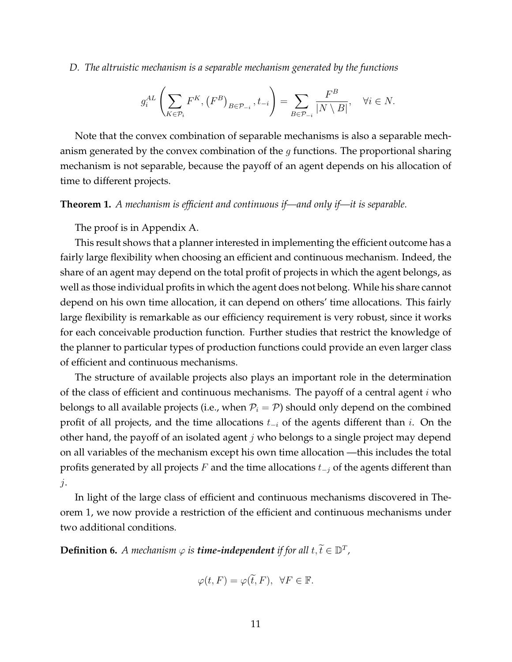*D. The altruistic mechanism is a separable mechanism generated by the functions*

$$
g_i^{AL}\left(\sum_{K\in\mathcal{P}_i} F^K, \left(F^B\right)_{B\in\mathcal{P}_{-i}}, t_{-i}\right) = \sum_{B\in\mathcal{P}_{-i}} \frac{F^B}{|N\setminus B|}, \quad \forall i \in N.
$$

Note that the convex combination of separable mechanisms is also a separable mechanism generated by the convex combination of the  $g$  functions. The proportional sharing mechanism is not separable, because the payoff of an agent depends on his allocation of time to different projects.

**Theorem 1.** *A mechanism is efficient and continuous if—and only if—it is separable.*

The proof is in Appendix A.

This result shows that a planner interested in implementing the efficient outcome has a fairly large flexibility when choosing an efficient and continuous mechanism. Indeed, the share of an agent may depend on the total profit of projects in which the agent belongs, as well as those individual profits in which the agent does not belong. While his share cannot depend on his own time allocation, it can depend on others' time allocations. This fairly large flexibility is remarkable as our efficiency requirement is very robust, since it works for each conceivable production function. Further studies that restrict the knowledge of the planner to particular types of production functions could provide an even larger class of efficient and continuous mechanisms.

The structure of available projects also plays an important role in the determination of the class of efficient and continuous mechanisms. The payoff of a central agent  $i$  who belongs to all available projects (i.e., when  $P_i = P$ ) should only depend on the combined profit of all projects, and the time allocations  $t_{-i}$  of the agents different than i. On the other hand, the payoff of an isolated agent  $j$  who belongs to a single project may depend on all variables of the mechanism except his own time allocation —this includes the total profits generated by all projects F and the time allocations  $t_{-j}$  of the agents different than  $j$ .

In light of the large class of efficient and continuous mechanisms discovered in Theorem 1, we now provide a restriction of the efficient and continuous mechanisms under two additional conditions.

**Definition 6.** *A mechanism*  $\varphi$  *is time-independent if for all*  $t, \widetilde{t} \in \mathbb{D}^T$ ,

$$
\varphi(t, F) = \varphi(\widetilde{t}, F), \ \forall F \in \mathbb{F}.
$$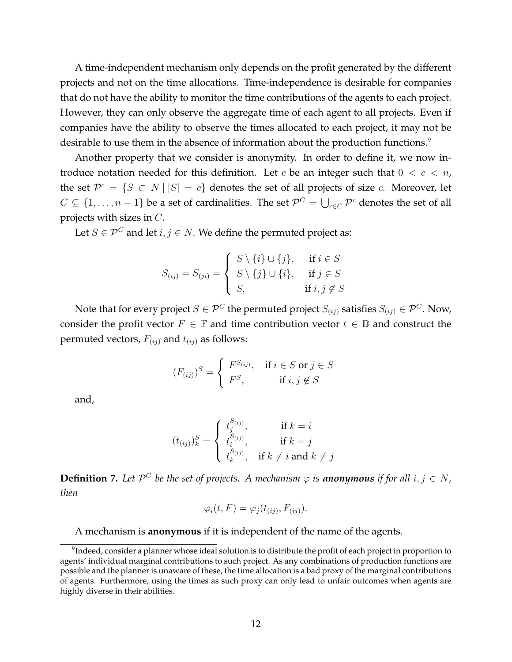A time-independent mechanism only depends on the profit generated by the different projects and not on the time allocations. Time-independence is desirable for companies that do not have the ability to monitor the time contributions of the agents to each project. However, they can only observe the aggregate time of each agent to all projects. Even if companies have the ability to observe the times allocated to each project, it may not be desirable to use them in the absence of information about the production functions.<sup>9</sup>

Another property that we consider is anonymity. In order to define it, we now introduce notation needed for this definition. Let c be an integer such that  $0 < c < n$ , the set  $\mathcal{P}^c = \{S \subset N \mid |S| = c\}$  denotes the set of all projects of size c. Moreover, let  $C\subseteq \{1,\ldots,n-1\}$  be a set of cardinalities. The set  $\mathcal{P}^C=\bigcup_{c\in C}\mathcal{P}^c$  denotes the set of all projects with sizes in C.

Let  $S \in \mathcal{P}^C$  and let  $i, j \in N$ . We define the permuted project as:

$$
S_{(ij)} = S_{(ji)} = \begin{cases} S \setminus \{i\} \cup \{j\}, & \text{if } i \in S \\ S \setminus \{j\} \cup \{i\}, & \text{if } j \in S \\ S, & \text{if } i, j \notin S \end{cases}
$$

Note that for every project  $S \in \mathcal{P}^C$  the permuted project  $S_{(ij)}$  satisfies  $S_{(ij)} \in \mathcal{P}^C$ . Now, consider the profit vector  $F \in \mathbb{F}$  and time contribution vector  $t \in \mathbb{D}$  and construct the permuted vectors,  $F_{(ij)}$  and  $t_{(ij)}$  as follows:

$$
(F_{(ij)})^S = \begin{cases} F^{S_{(ij)}}, & \text{if } i \in S \text{ or } j \in S \\ F^S, & \text{if } i, j \notin S \end{cases}
$$

and,

$$
(t_{(ij)})_k^S = \begin{cases} t_j^{S_{(ij)}}, & \text{if } k = i \\ t_i^{S_{(ij)}}, & \text{if } k = j \\ t_k^{S_{(ij)}}, & \text{if } k \neq i \text{ and } k \neq j \end{cases}
$$

**Definition 7.** Let  $\mathcal{P}^C$  be the set of projects. A mechanism  $\varphi$  is **anonymous** if for all  $i, j \in N$ , *then*

$$
\varphi_i(t, F) = \varphi_j(t_{(ij)}, F_{(ij)}).
$$

A mechanism is **anonymous** if it is independent of the name of the agents.

 $^9$ Indeed, consider a planner whose ideal solution is to distribute the profit of each project in proportion to agents' individual marginal contributions to such project. As any combinations of production functions are possible and the planner is unaware of these, the time allocation is a bad proxy of the marginal contributions of agents. Furthermore, using the times as such proxy can only lead to unfair outcomes when agents are highly diverse in their abilities.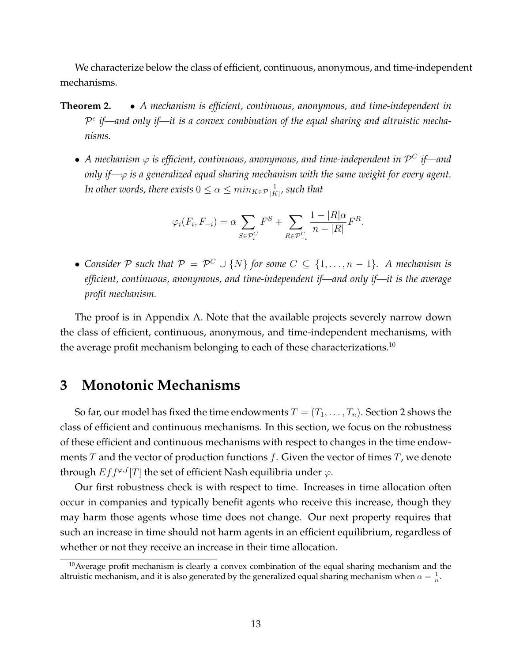We characterize below the class of efficient, continuous, anonymous, and time-independent mechanisms.

- **Theorem 2.** *A mechanism is efficient, continuous, anonymous, and time-independent in* P c *if—and only if—it is a convex combination of the equal sharing and altruistic mechanisms.*
	- A mechanism φ is efficient, continuous, anonymous, and time-independent in P<sup>C</sup> if—and *only if—*ϕ *is a generalized equal sharing mechanism with the same weight for every agent.* In other words, there exists  $0 \leq \alpha \leq min_{K \in \mathcal{P}} \frac{1}{|K|}$  $\frac{1}{|K|}$ , such that

$$
\varphi_i(F_i, F_{-i}) = \alpha \sum_{S \in \mathcal{P}_i^C} F^S + \sum_{R \in \mathcal{P}_{-i}^C} \frac{1 - |R|\alpha}{n - |R|} F^R.
$$

• *Consider* P such that  $P = P^C \cup \{N\}$  for some  $C \subseteq \{1, ..., n-1\}$ . A mechanism is *efficient, continuous, anonymous, and time-independent if—and only if—it is the average profit mechanism.*

The proof is in Appendix A. Note that the available projects severely narrow down the class of efficient, continuous, anonymous, and time-independent mechanisms, with the average profit mechanism belonging to each of these characterizations.<sup>10</sup>

## **3 Monotonic Mechanisms**

So far, our model has fixed the time endowments  $T=(T_1,\ldots,T_n)$ . Section 2 shows the class of efficient and continuous mechanisms. In this section, we focus on the robustness of these efficient and continuous mechanisms with respect to changes in the time endowments  $T$  and the vector of production functions  $f$ . Given the vector of times  $T$ , we denote through  $Eff^{\varphi,f}[T]$  the set of efficient Nash equilibria under  $\varphi$ .

Our first robustness check is with respect to time. Increases in time allocation often occur in companies and typically benefit agents who receive this increase, though they may harm those agents whose time does not change. Our next property requires that such an increase in time should not harm agents in an efficient equilibrium, regardless of whether or not they receive an increase in their time allocation.

 $10$ Average profit mechanism is clearly a convex combination of the equal sharing mechanism and the altruistic mechanism, and it is also generated by the generalized equal sharing mechanism when  $\alpha=\frac{1}{n}$ .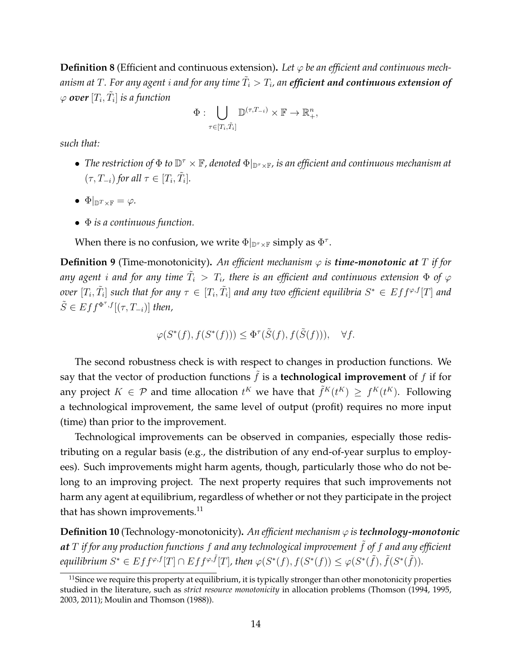**Definition 8** (Efficient and continuous extension). Let  $\varphi$  be an efficient and continuous mechanism at T. For any agent  $i$  and for any time  $\tilde{T}_i>T_i$  an **efficient and continuous extension of**  $\varphi$  **over**  $[T_i, \tilde{T}_i]$  is a function

$$
\Phi: \bigcup_{\tau \in [T_i, \tilde{T}_i]} \mathbb{D}^{(\tau, T_{-i})} \times \mathbb{F} \to \mathbb{R}^n_+,
$$

*such that:*

- The restriction of  $\Phi$  to  $\mathbb{D}^{\tau}\times\mathbb{F}$ , denoted  $\Phi|_{\mathbb{D}^{\tau}\times\mathbb{F}}$ , is an efficient and continuous mechanism at  $(\tau, T_{-i})$  for all  $\tau \in [T_i, \tilde{T}_i].$
- $\Phi|_{\mathbb{D}^T \times \mathbb{F}} = \varphi$ .
- Φ *is a continuous function.*

When there is no confusion, we write  $\Phi|_{\mathbb{D}^{\tau}\times\mathbb{F}}$  simply as  $\Phi^{\tau}$ .

**Definition 9** (Time-monotonicity). An efficient mechanism  $\varphi$  is **time-monotonic at** T if for any agent  $i$  and for any time  $\tilde{T}_i \, > \, T_i$ , there is an efficient and continuous extension  $\Phi$  of  $\varphi$  $p$  *over*  $[T_i,\tilde{T}_i]$  such that for any  $\tau\,\in\, [T_i,\tilde{T}_i]$  and any two efficient equilibria  $S^*\,\in\, Eff^{\varphi,f}[T]$  and  $\tilde{S} \in Eff^{\Phi^{\tau},f}[(\tau, T_{-i})]$  then,

$$
\varphi(S^*(f), f(S^*(f))) \le \Phi^\tau(\tilde{S}(f), f(\tilde{S}(f))), \quad \forall f.
$$

The second robustness check is with respect to changes in production functions. We say that the vector of production functions  $\hat{f}$  is a **technological improvement** of  $f$  if for any project  $K \in \mathcal{P}$  and time allocation  $t^K$  we have that  $\tilde{f}^K(t^K) \geq f^K(t^K)$ . Following a technological improvement, the same level of output (profit) requires no more input (time) than prior to the improvement.

Technological improvements can be observed in companies, especially those redistributing on a regular basis (e.g., the distribution of any end-of-year surplus to employees). Such improvements might harm agents, though, particularly those who do not belong to an improving project. The next property requires that such improvements not harm any agent at equilibrium, regardless of whether or not they participate in the project that has shown improvements.<sup>11</sup>

**Definition 10** (Technology-monotonicity). An efficient mechanism  $\varphi$  is **technology-monotonic** *at* T *if for any production functions* f *and any technological improvement* ˜f *of* f *and any efficient*  $\textit{equilibrium } S^* \in Eff^{\varphi,f}[T] \cap Eff^{\varphi,\tilde{f}}[T]$ , then  $\varphi(S^*(f), f(S^*(f)) \leq \varphi(S^*(\tilde{f}), \tilde{f}(S^*(\tilde{f})).$ 

<sup>&</sup>lt;sup>11</sup>Since we require this property at equilibrium, it is typically stronger than other monotonicity properties studied in the literature, such as *strict resource monotonicity* in allocation problems (Thomson (1994, 1995, 2003, 2011); Moulin and Thomson (1988)).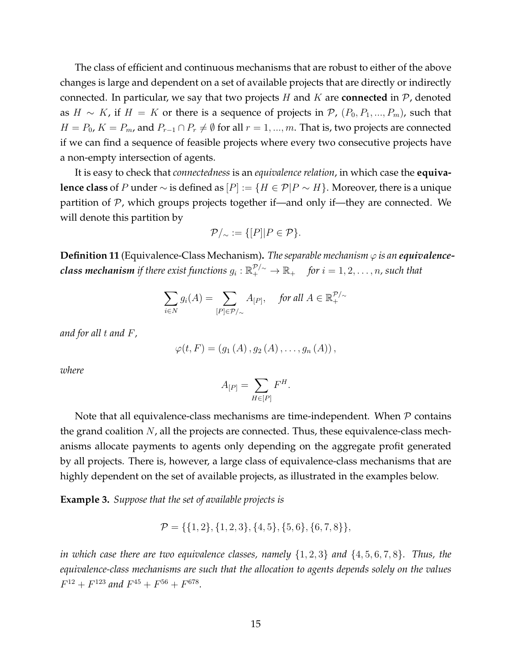The class of efficient and continuous mechanisms that are robust to either of the above changes is large and dependent on a set of available projects that are directly or indirectly connected. In particular, we say that two projects  $H$  and  $K$  are **connected** in  $P$ , denoted as  $H \sim K$ , if  $H = K$  or there is a sequence of projects in  $\mathcal{P}$ ,  $(P_0, P_1, ..., P_m)$ , such that  $H = P_0$ ,  $K = P_m$ , and  $P_{r-1} \cap P_r \neq \emptyset$  for all  $r = 1, ..., m$ . That is, two projects are connected if we can find a sequence of feasible projects where every two consecutive projects have a non-empty intersection of agents.

It is easy to check that *connectedness* is an *equivalence relation*, in which case the **equivalence class** of P under  $\sim$  is defined as  $[P] := \{H \in \mathcal{P} | P \sim H\}$ . Moreover, there is a unique partition of  $P$ , which groups projects together if—and only if—they are connected. We will denote this partition by

$$
\mathcal{P}/_{\sim} := \{ [P] | P \in \mathcal{P} \}.
$$

**Definition 11** (Equivalence-Class Mechanism). The separable mechanism  $\varphi$  is an equivalence- ${\it class \ mechanism \ if \ there \ exist \ functions \ } g_i: \mathbb{R}_+^{\mathcal{P}/\sim} \to \mathbb{R}_+ \quad \hbox{ for } i=1,2,\ldots,n, \ such \ that$ 

$$
\sum_{i\in N} g_i(A) = \sum_{[P]\in\mathcal{P}/_{\sim}} A_{[P]}, \quad \text{for all } A \in \mathbb{R}_+^{\mathcal{P}/_{\sim}}
$$

*and for all* t *and* F*,*

$$
\varphi(t, F) = (g_1(A), g_2(A), \ldots, g_n(A)),
$$

*where*

$$
A_{[P]} = \sum_{H \in [P]} F^H.
$$

Note that all equivalence-class mechanisms are time-independent. When  $P$  contains the grand coalition  $N$ , all the projects are connected. Thus, these equivalence-class mechanisms allocate payments to agents only depending on the aggregate profit generated by all projects. There is, however, a large class of equivalence-class mechanisms that are highly dependent on the set of available projects, as illustrated in the examples below.

**Example 3.** *Suppose that the set of available projects is*

$$
\mathcal{P} = \{\{1, 2\}, \{1, 2, 3\}, \{4, 5\}, \{5, 6\}, \{6, 7, 8\}\},\
$$

*in which case there are two equivalence classes, namely* {1, 2, 3} *and* {4, 5, 6, 7, 8}*. Thus, the equivalence-class mechanisms are such that the allocation to agents depends solely on the values*  $F^{12} + F^{123}$  and  $F^{45} + F^{56} + F^{678}$ .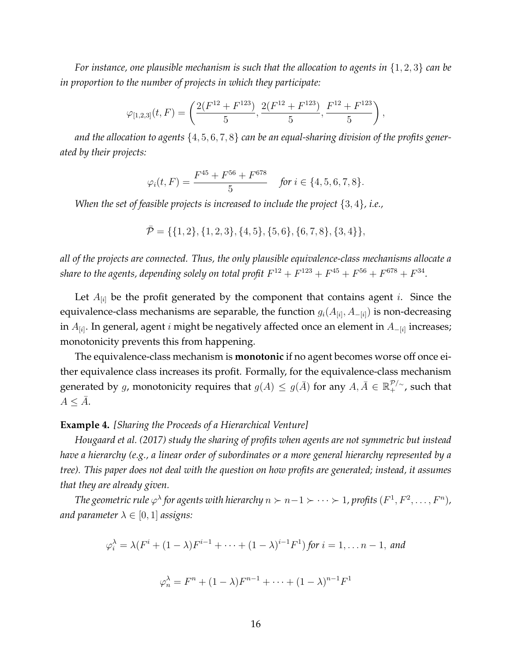*For instance, one plausible mechanism is such that the allocation to agents in* {1, 2, 3} *can be in proportion to the number of projects in which they participate:*

$$
\varphi_{[1,2,3]}(t,F) = \left(\frac{2(F^{12} + F^{123})}{5}, \frac{2(F^{12} + F^{123})}{5}, \frac{F^{12} + F^{123}}{5}\right),
$$

*and the allocation to agents* {4, 5, 6, 7, 8} *can be an equal-sharing division of the profits generated by their projects:*

$$
\varphi_i(t, F) = \frac{F^{45} + F^{56} + F^{678}}{5} \quad \text{for } i \in \{4, 5, 6, 7, 8\}.
$$

*When the set of feasible projects is increased to include the project* {3, 4}*, i.e.,*

$$
\bar{\mathcal{P}} = \{\{1, 2\}, \{1, 2, 3\}, \{4, 5\}, \{5, 6\}, \{6, 7, 8\}, \{3, 4\}\},\
$$

*all of the projects are connected. Thus, the only plausible equivalence-class mechanisms allocate a share to the agents, depending solely on total profit*  $F^{12} + F^{123} + F^{45} + F^{56} + F^{678} + F^{34}$ .

Let  $A_{[i]}$  be the profit generated by the component that contains agent *i*. Since the equivalence-class mechanisms are separable, the function  $g_i(A_{[i]},A_{-[i]})$  is non-decreasing in  $A_{[i]}$ . In general, agent  $i$  might be negatively affected once an element in  $A_{-[i]}$  increases; monotonicity prevents this from happening.

The equivalence-class mechanism is **monotonic** if no agent becomes worse off once either equivalence class increases its profit. Formally, for the equivalence-class mechanism generated by  $g$ , monotonicity requires that  $g(A)\leq g(\bar{A})$  for any  $A,\bar{A}\in\mathbb{R}_+^{\mathcal{P}/\sim}$ , such that  $A \leq \overline{A}.$ 

#### **Example 4.** *[Sharing the Proceeds of a Hierarchical Venture]*

*Hougaard et al. (2017) study the sharing of profits when agents are not symmetric but instead have a hierarchy (e.g., a linear order of subordinates or a more general hierarchy represented by a tree). This paper does not deal with the question on how profits are generated; instead, it assumes that they are already given.*

*The geometric rule*  $\varphi^\lambda$  *for agents with hierarchy*  $n \succ n-1 \succ \cdots \succ 1$ *, profits*  $(F^1, F^2, \ldots, F^n)$ *, and parameter*  $\lambda \in [0, 1]$  *assigns:* 

$$
\varphi_i^{\lambda} = \lambda (F^i + (1 - \lambda)F^{i-1} + \dots + (1 - \lambda)^{i-1}F^1) \text{ for } i = 1, \dots n - 1, \text{ and}
$$

$$
\varphi_n^{\lambda} = F^n + (1 - \lambda)F^{n-1} + \dots + (1 - \lambda)^{n-1}F^1
$$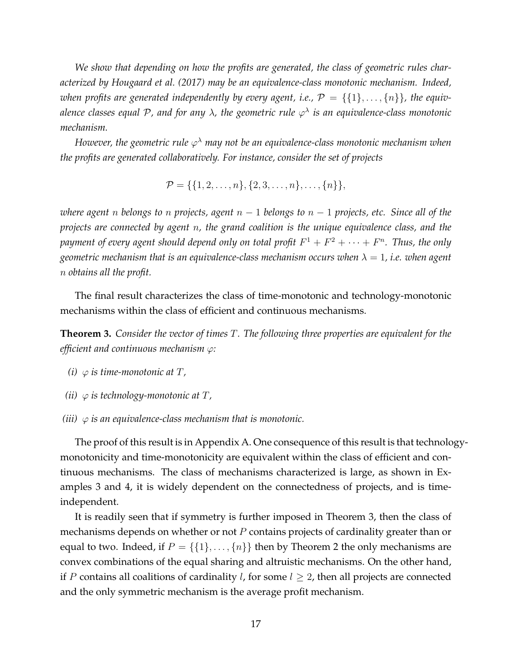*We show that depending on how the profits are generated, the class of geometric rules characterized by Hougaard et al. (2017) may be an equivalence-class monotonic mechanism. Indeed,* when profits are generated independently by every agent, i.e.,  $\mathcal{P} = \{\{1\}, \ldots, \{n\}\}\,$  the equiv*alence classes equal* P*, and for any* λ*, the geometric rule* ϕ λ *is an equivalence-class monotonic mechanism.*

*However, the geometric rule* ϕ <sup>λ</sup> *may not be an equivalence-class monotonic mechanism when the profits are generated collaboratively. For instance, consider the set of projects*

 $\mathcal{P} = \{\{1, 2, \ldots, n\}, \{2, 3, \ldots, n\}, \ldots, \{n\}\},\$ 

*where agent* n *belongs to* n *projects, agent* n − 1 *belongs to* n − 1 *projects, etc. Since all of the projects are connected by agent* n*, the grand coalition is the unique equivalence class, and the* payment of every agent should depend only on total profit  $F^1 + F^2 + \cdots + F^n.$  Thus, the only *geometric mechanism that is an equivalence-class mechanism occurs when*  $\lambda = 1$ , *i.e. when agent* n *obtains all the profit.*

The final result characterizes the class of time-monotonic and technology-monotonic mechanisms within the class of efficient and continuous mechanisms.

**Theorem 3.** *Consider the vector of times* T*. The following three properties are equivalent for the efficient and continuous mechanism* ϕ*:*

- *(i)*  $\varphi$  *is time-monotonic at*  $T$ *,*
- *(ii)*  $\varphi$  *is technology-monotonic at*  $T$ *,*
- *(iii)*  $\varphi$  *is an equivalence-class mechanism that is monotonic.*

The proof of this result is in Appendix A. One consequence of this result is that technologymonotonicity and time-monotonicity are equivalent within the class of efficient and continuous mechanisms. The class of mechanisms characterized is large, as shown in Examples 3 and 4, it is widely dependent on the connectedness of projects, and is timeindependent.

It is readily seen that if symmetry is further imposed in Theorem 3, then the class of mechanisms depends on whether or not  $P$  contains projects of cardinality greater than or equal to two. Indeed, if  $P = \{\{1\}, \ldots, \{n\}\}\$  then by Theorem 2 the only mechanisms are convex combinations of the equal sharing and altruistic mechanisms. On the other hand, if P contains all coalitions of cardinality l, for some  $l \geq 2$ , then all projects are connected and the only symmetric mechanism is the average profit mechanism.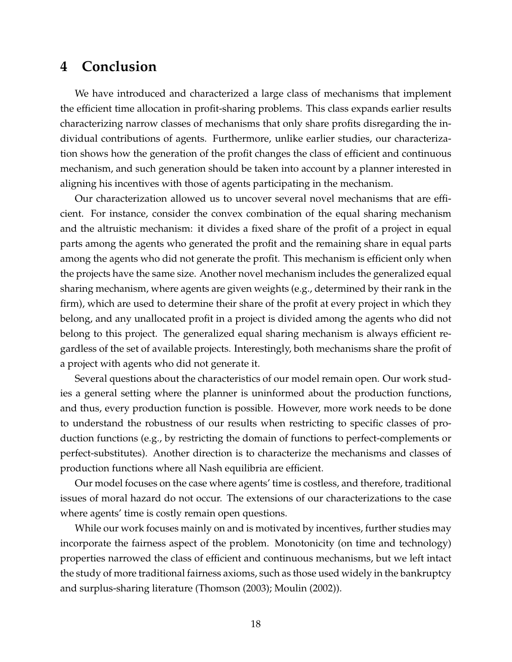# **4 Conclusion**

We have introduced and characterized a large class of mechanisms that implement the efficient time allocation in profit-sharing problems. This class expands earlier results characterizing narrow classes of mechanisms that only share profits disregarding the individual contributions of agents. Furthermore, unlike earlier studies, our characterization shows how the generation of the profit changes the class of efficient and continuous mechanism, and such generation should be taken into account by a planner interested in aligning his incentives with those of agents participating in the mechanism.

Our characterization allowed us to uncover several novel mechanisms that are efficient. For instance, consider the convex combination of the equal sharing mechanism and the altruistic mechanism: it divides a fixed share of the profit of a project in equal parts among the agents who generated the profit and the remaining share in equal parts among the agents who did not generate the profit. This mechanism is efficient only when the projects have the same size. Another novel mechanism includes the generalized equal sharing mechanism, where agents are given weights (e.g., determined by their rank in the firm), which are used to determine their share of the profit at every project in which they belong, and any unallocated profit in a project is divided among the agents who did not belong to this project. The generalized equal sharing mechanism is always efficient regardless of the set of available projects. Interestingly, both mechanisms share the profit of a project with agents who did not generate it.

Several questions about the characteristics of our model remain open. Our work studies a general setting where the planner is uninformed about the production functions, and thus, every production function is possible. However, more work needs to be done to understand the robustness of our results when restricting to specific classes of production functions (e.g., by restricting the domain of functions to perfect-complements or perfect-substitutes). Another direction is to characterize the mechanisms and classes of production functions where all Nash equilibria are efficient.

Our model focuses on the case where agents' time is costless, and therefore, traditional issues of moral hazard do not occur. The extensions of our characterizations to the case where agents' time is costly remain open questions.

While our work focuses mainly on and is motivated by incentives, further studies may incorporate the fairness aspect of the problem. Monotonicity (on time and technology) properties narrowed the class of efficient and continuous mechanisms, but we left intact the study of more traditional fairness axioms, such as those used widely in the bankruptcy and surplus-sharing literature (Thomson (2003); Moulin (2002)).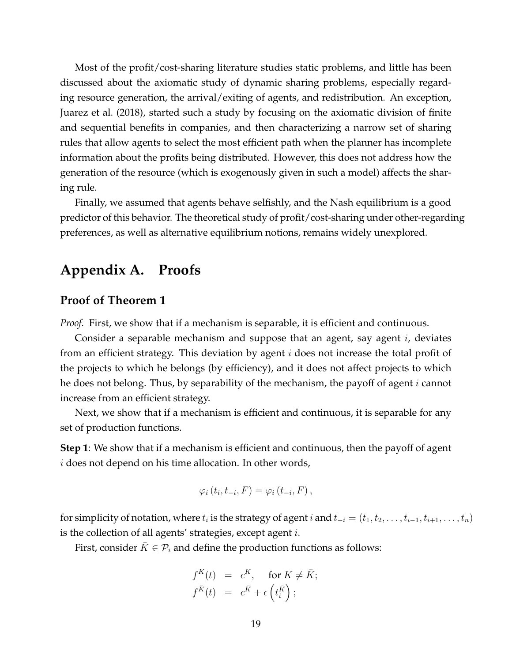Most of the profit/cost-sharing literature studies static problems, and little has been discussed about the axiomatic study of dynamic sharing problems, especially regarding resource generation, the arrival/exiting of agents, and redistribution. An exception, Juarez et al. (2018), started such a study by focusing on the axiomatic division of finite and sequential benefits in companies, and then characterizing a narrow set of sharing rules that allow agents to select the most efficient path when the planner has incomplete information about the profits being distributed. However, this does not address how the generation of the resource (which is exogenously given in such a model) affects the sharing rule.

Finally, we assumed that agents behave selfishly, and the Nash equilibrium is a good predictor of this behavior. The theoretical study of profit/cost-sharing under other-regarding preferences, as well as alternative equilibrium notions, remains widely unexplored.

### **Appendix A. Proofs**

### **Proof of Theorem 1**

*Proof.* First, we show that if a mechanism is separable, it is efficient and continuous.

Consider a separable mechanism and suppose that an agent, say agent  $i$ , deviates from an efficient strategy. This deviation by agent  $i$  does not increase the total profit of the projects to which he belongs (by efficiency), and it does not affect projects to which he does not belong. Thus, by separability of the mechanism, the payoff of agent  $i$  cannot increase from an efficient strategy.

Next, we show that if a mechanism is efficient and continuous, it is separable for any set of production functions.

**Step 1**: We show that if a mechanism is efficient and continuous, then the payoff of agent  $i$  does not depend on his time allocation. In other words,

$$
\varphi_i(t_i, t_{-i}, F) = \varphi_i(t_{-i}, F),
$$

for simplicity of notation, where  $t_i$  is the strategy of agent  $i$  and  $t_{-i} = (t_1, t_2, \ldots, t_{i-1}, t_{i+1}, \ldots, t_n)$ is the collection of all agents' strategies, except agent i.

First, consider  $K \in \mathcal{P}_i$  and define the production functions as follows:

$$
f^{K}(t) = c^{K}, \text{ for } K \neq \overline{K};
$$
  

$$
f^{\overline{K}}(t) = c^{\overline{K}} + \epsilon \left(t_i^{\overline{K}}\right);
$$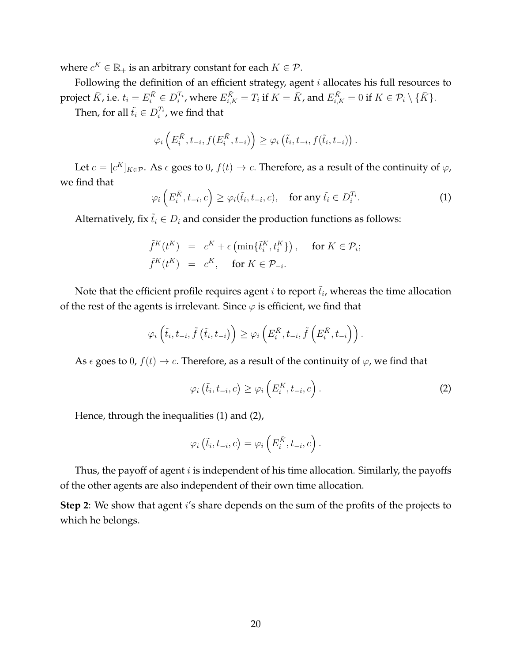where  $c^K \in \mathbb{R}_+$  is an arbitrary constant for each  $K \in \mathcal{P}$ .

Following the definition of an efficient strategy, agent  $i$  allocates his full resources to project  $\bar{K}$ , i.e.  $t_i = E_i^{\bar{K}} \in D_i^{T_i}$ , where  $E_{i,K}^{\bar{K}} = T_i$  if  $K = \bar{K}$ , and  $E_{i,K}^{\bar{K}} = 0$  if  $K \in \mathcal{P}_i \setminus \{\bar{K}\}$ .

Then, for all  $\tilde{t}_i \in D_i^{T_i}$ , we find that

$$
\varphi_i\left(E_i^{\bar{K}}, t_{-i}, f(E_i^{\bar{K}}, t_{-i})\right) \geq \varphi_i\left(\tilde{t}_i, t_{-i}, f(\tilde{t}_i, t_{-i})\right).
$$

Let  $c = [c^K]_{K \in \mathcal{P}}$ . As  $\epsilon$  goes to  $0$ ,  $f(t) \to c$ . Therefore, as a result of the continuity of  $\varphi$ , we find that

$$
\varphi_i\left(E_i^{\bar{K}}, t_{-i}, c\right) \ge \varphi_i(\tilde{t}_i, t_{-i}, c), \quad \text{for any } \tilde{t}_i \in D_i^{T_i}.
$$
 (1)

Alternatively, fix  $\tilde{t}_i \in D_i$  and consider the production functions as follows:

$$
\tilde{f}^K(t^K) = c^K + \epsilon \left( \min \{ \tilde{t}_i^K, t_i^K \} \right), \quad \text{for } K \in \mathcal{P}_i;
$$
  

$$
\tilde{f}^K(t^K) = c^K, \quad \text{for } K \in \mathcal{P}_{-i}.
$$

Note that the efficient profile requires agent  $i$  to report  $\tilde{t}_i$ , whereas the time allocation of the rest of the agents is irrelevant. Since  $\varphi$  is efficient, we find that

$$
\varphi_i\left(\tilde{t}_i, t_{-i}, \tilde{f}\left(\tilde{t}_i, t_{-i}\right)\right) \geq \varphi_i\left(E_i^{\bar{K}}, t_{-i}, \tilde{f}\left(E_i^{\bar{K}}, t_{-i}\right)\right).
$$

As  $\epsilon$  goes to 0,  $f(t) \to c$ . Therefore, as a result of the continuity of  $\varphi$ , we find that

$$
\varphi_i\left(\tilde{t}_i, t_{-i}, c\right) \geq \varphi_i\left(E_i^{\bar{K}}, t_{-i}, c\right).
$$
 (2)

Hence, through the inequalities (1) and (2),

$$
\varphi_i\left(\tilde{t}_i, t_{-i}, c\right) = \varphi_i\left(E_i^{\bar{K}}, t_{-i}, c\right).
$$

Thus, the payoff of agent  $i$  is independent of his time allocation. Similarly, the payoffs of the other agents are also independent of their own time allocation.

**Step 2**: We show that agent i's share depends on the sum of the profits of the projects to which he belongs.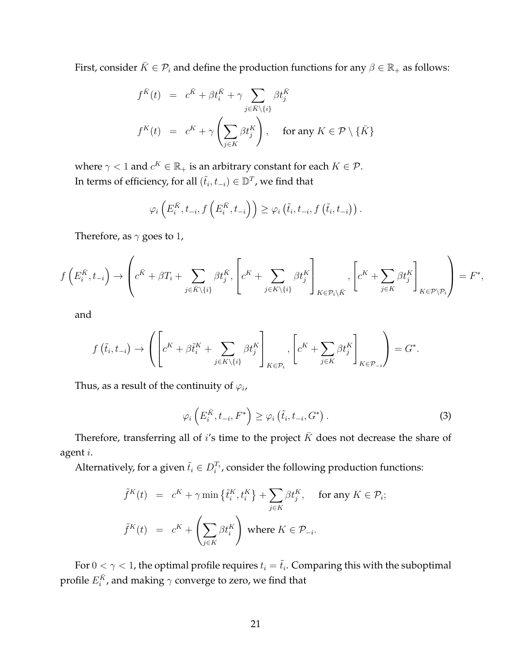First, consider  $\bar{K} \in \mathcal{P}_i$  and define the production functions for any  $\beta \in \mathbb{R}_+$  as follows:

$$
f^{\bar{K}}(t) = c^{\bar{K}} + \beta t_i^{\bar{K}} + \gamma \sum_{j \in \bar{K} \setminus \{i\}} \beta t_j^{\bar{K}}
$$
  

$$
f^{K}(t) = c^{K} + \gamma \left( \sum_{j \in K} \beta t_j^{K} \right), \quad \text{for any } K \in \mathcal{P} \setminus \{\bar{K}\}
$$

where  $\gamma < 1$  and  $c^K \in \mathbb{R}_+$  is an arbitrary constant for each  $K \in \mathcal{P}$ . In terms of efficiency, for all  $(\tilde{t}_i, t_{-i}) \in \mathbb{D}^T$ , we find that

$$
\varphi_i\left(E_i^{\bar{K}}, t_{-i}, f\left(E_i^{\bar{K}}, t_{-i}\right)\right) \geq \varphi_i\left(\tilde{t}_i, t_{-i}, f\left(\tilde{t}_i, t_{-i}\right)\right).
$$

Therefore, as  $\gamma$  goes to 1,

$$
f\left(E_i^{\bar{K}}, t_{-i}\right) \to \left(c^{\bar{K}} + \beta T_i + \sum_{j \in \bar{K} \backslash \{i\}} \beta t_j^{\bar{K}}, \left[c^{K} + \sum_{j \in K \backslash \{i\}} \beta t_j^{K}\right]_{K \in \mathcal{P}_i \backslash \bar{K}}, \left[c^{K} + \sum_{j \in K} \beta t_j^{K}\right]_{K \in \mathcal{P} \backslash \mathcal{P}_i}\right) = F^*,
$$

and

$$
f\left(\tilde{t}_i, t_{-i}\right) \to \left( \left[ c^K + \beta \tilde{t}_i^K + \sum_{j \in K \backslash \{i\}} \beta t_j^K \right]_{K \in \mathcal{P}_i}, \left[ c^K + \sum_{j \in K} \beta t_j^K \right]_{K \in \mathcal{P}_{-i}} \right) = G^*.
$$

Thus, as a result of the continuity of  $\varphi_i$ ,

$$
\varphi_i\left(E_i^{\bar{K}}, t_{-i}, F^*\right) \ge \varphi_i\left(\tilde{t}_i, t_{-i}, G^*\right). \tag{3}
$$

Therefore, transferring all of i's time to the project  $\bar{K}$  does not decrease the share of agent i.

Alternatively, for a given  $\tilde{t}_i \in D_i^{T_i}$ , consider the following production functions:

$$
\tilde{f}^{K}(t) = c^{K} + \gamma \min \left\{ \tilde{t}_{i}^{K}, t_{i}^{K} \right\} + \sum_{j \in K} \beta t_{j}^{K}, \quad \text{for any } K \in \mathcal{P}_{i};
$$
\n
$$
\tilde{f}^{K}(t) = c^{K} + \left( \sum_{j \in K} \beta t_{i}^{K} \right) \text{ where } K \in \mathcal{P}_{-i}.
$$

For  $0 < \gamma < 1$ , the optimal profile requires  $t_i = \tilde{t}_i$ . Comparing this with the suboptimal profile  $E_i^{\bar{K}}$ , and making  $\gamma$  converge to zero, we find that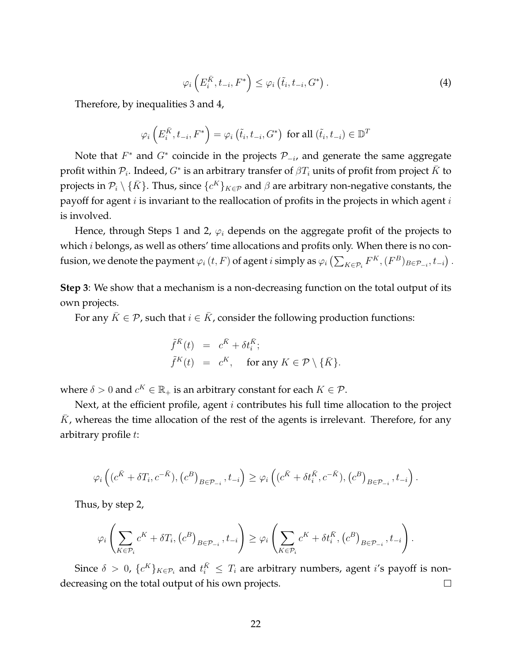$$
\varphi_i\left(E_i^{\bar{K}}, t_{-i}, F^*\right) \leq \varphi_i\left(\tilde{t}_i, t_{-i}, G^*\right). \tag{4}
$$

Therefore, by inequalities 3 and 4,

$$
\varphi_i\left(E_i^{\bar{K}}, t_{-i}, F^*\right) = \varphi_i\left(\tilde{t}_i, t_{-i}, G^*\right) \text{ for all } (\tilde{t}_i, t_{-i}) \in \mathbb{D}^T
$$

Note that  $F^*$  and  $G^*$  coincide in the projects  $\mathcal{P}_{-i}$ , and generate the same aggregate profit within  $\mathcal{P}_i.$  Indeed,  $G^*$  is an arbitrary transfer of  $\beta T_i$  units of profit from project  $\bar{K}$  to projects in  $\mathcal{P}_i\setminus\{\bar{K}\}.$  Thus, since  $\{c^K\}_{K\in\mathcal{P}}$  and  $\beta$  are arbitrary non-negative constants, the payoff for agent  $i$  is invariant to the reallocation of profits in the projects in which agent  $i$ is involved.

Hence, through Steps 1 and 2,  $\varphi_i$  depends on the aggregate profit of the projects to which i belongs, as well as others' time allocations and profits only. When there is no confusion, we denote the payment  $\varphi_i\left(t,F\right)$  of agent  $i$  simply as  $\varphi_i\left(\sum_{K\in\mathcal{P}_i}F^K,\left(F^B\right)_{B\in\mathcal{P}_{-i}},t_{-i}\right)$  .

**Step 3**: We show that a mechanism is a non-decreasing function on the total output of its own projects.

For any  $\bar{K} \in \mathcal{P}$ , such that  $i \in \bar{K}$ , consider the following production functions:

$$
\begin{aligned}\n\tilde{f}^{\bar{K}}(t) &= c^{\bar{K}} + \delta t_i^{\bar{K}}; \\
\tilde{f}^{\bar{K}}(t) &= c^{\bar{K}}, \quad \text{for any } K \in \mathcal{P} \setminus \{\bar{K}\}.\n\end{aligned}
$$

where  $\delta > 0$  and  $c^K \in \mathbb{R}_+$  is an arbitrary constant for each  $K \in \mathcal{P}$ .

Next, at the efficient profile, agent  $i$  contributes his full time allocation to the project  $\overline{K}$ , whereas the time allocation of the rest of the agents is irrelevant. Therefore, for any arbitrary profile  $t$ :

$$
\varphi_i\left((c^{\bar{K}}+\delta T_i,c^{-\bar{K}}),\left(c^B\right)_{B\in\mathcal{P}_{-i}},t_{-i}\right)\geq\varphi_i\left((c^{\bar{K}}+\delta t_i^{\bar{K}},c^{-\bar{K}}),\left(c^B\right)_{B\in\mathcal{P}_{-i}},t_{-i}\right).
$$

Thus, by step 2,

$$
\varphi_i\left(\sum_{K\in\mathcal{P}_i} c^{K} + \delta T_i, \left(c^{B}\right)_{B\in\mathcal{P}_{-i}}, t_{-i}\right) \geq \varphi_i\left(\sum_{K\in\mathcal{P}_i} c^{K} + \delta t_i^{\bar{K}}, \left(c^{B}\right)_{B\in\mathcal{P}_{-i}}, t_{-i}\right).
$$

Since  $\delta > 0$ ,  $\{c^K\}_{K \in \mathcal{P}_i}$  and  $t^K_i \leq T_i$  are arbitrary numbers, agent i's payoff is nondecreasing on the total output of his own projects.  $\Box$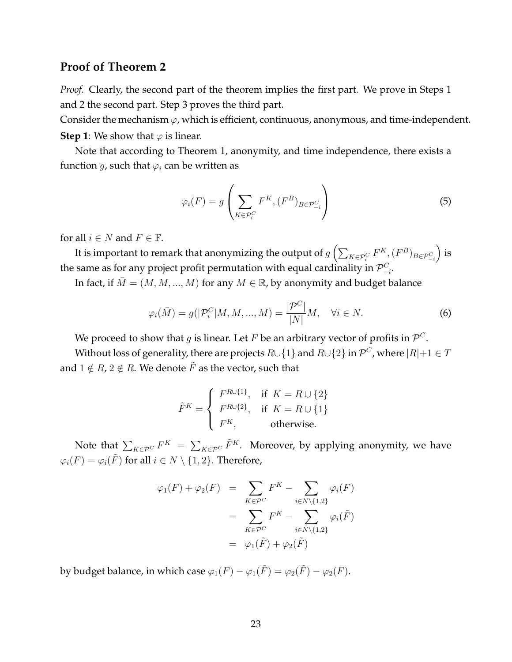### **Proof of Theorem 2**

*Proof.* Clearly, the second part of the theorem implies the first part. We prove in Steps 1 and 2 the second part. Step 3 proves the third part.

Consider the mechanism  $\varphi$ , which is efficient, continuous, anonymous, and time-independent. **Step 1**: We show that  $\varphi$  is linear.

Note that according to Theorem 1, anonymity, and time independence, there exists a function *g*, such that  $\varphi_i$  can be written as

$$
\varphi_i(F) = g\left(\sum_{K \in \mathcal{P}_i^C} F^K, (F^B)_{B \in \mathcal{P}_{-i}^C}\right) \tag{5}
$$

for all  $i \in N$  and  $F \in \mathbb{F}$ .

It is important to remark that anonymizing the output of  $g\left(\sum_{K\in \mathcal{P}_i^C}F^K, (F^B)_{B\in \mathcal{P}_{-i}^C}\right)$  $\big)$  is the same as for any project profit permutation with equal cardinality in  $\mathcal{P}^C_{-i}$ .

In fact, if  $\overline{M} = (M, M, ..., M)$  for any  $M \in \mathbb{R}$ , by anonymity and budget balance

$$
\varphi_i(\bar{M}) = g(|\mathcal{P}_i^C|M, M, ..., M) = \frac{|\mathcal{P}^C|}{|N|}M, \quad \forall i \in N.
$$
 (6)

We proceed to show that  $g$  is linear. Let  $F$  be an arbitrary vector of profits in  $\mathcal{P}^C$ .

Without loss of generality, there are projects  $R\cup\{1\}$  and  $R\cup\{2\}$  in  $\mathcal{P}^C$ , where  $|R|+1\in T$ and  $1 \notin R$ ,  $2 \notin R$ . We denote  $\tilde{F}$  as the vector, such that

$$
\tilde{F}^K = \begin{cases}\nF^{R \cup \{1\}}, & \text{if } K = R \cup \{2\} \\
F^{R \cup \{2\}}, & \text{if } K = R \cup \{1\} \\
F^K, & \text{otherwise.} \n\end{cases}
$$

Note that  $\sum_{K\in \mathcal{P}^C} F^K = \sum_{K\in \mathcal{P}^C} \tilde{F}^K$ . Moreover, by applying anonymity, we have  $\varphi_i(F) = \varphi_i(\tilde{F})$  for all  $i \in N \setminus \{1, 2\}$ . Therefore,

$$
\varphi_1(F) + \varphi_2(F) = \sum_{K \in \mathcal{P}^C} F^K - \sum_{i \in N \setminus \{1,2\}} \varphi_i(F)
$$
  
= 
$$
\sum_{K \in \mathcal{P}^C} F^K - \sum_{i \in N \setminus \{1,2\}} \varphi_i(\tilde{F})
$$
  
= 
$$
\varphi_1(\tilde{F}) + \varphi_2(\tilde{F})
$$

by budget balance, in which case  $\varphi_1(F) - \varphi_1(\tilde{F}) = \varphi_2(\tilde{F}) - \varphi_2(F)$ .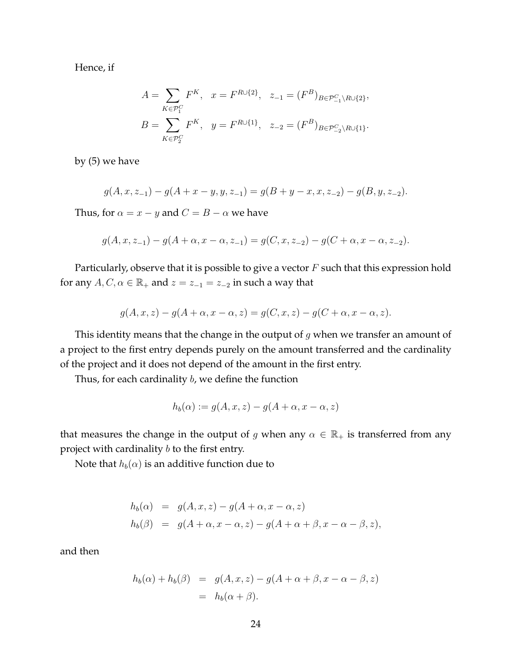Hence, if

$$
A = \sum_{K \in \mathcal{P}_1^C} F^K, \quad x = F^{R \cup \{2\}}, \quad z_{-1} = (F^B)_{B \in \mathcal{P}_{-1}^C \setminus R \cup \{2\}},
$$

$$
B = \sum_{K \in \mathcal{P}_2^C} F^K, \quad y = F^{R \cup \{1\}}, \quad z_{-2} = (F^B)_{B \in \mathcal{P}_{-2}^C \setminus R \cup \{1\}}.
$$

by (5) we have

$$
g(A, x, z_{-1}) - g(A + x - y, y, z_{-1}) = g(B + y - x, x, z_{-2}) - g(B, y, z_{-2}).
$$

Thus, for  $\alpha = x - y$  and  $C = B - \alpha$  we have

$$
g(A, x, z_{-1}) - g(A + \alpha, x - \alpha, z_{-1}) = g(C, x, z_{-2}) - g(C + \alpha, x - \alpha, z_{-2}).
$$

Particularly, observe that it is possible to give a vector  $F$  such that this expression hold for any  $A, C, \alpha \in \mathbb{R}_+$  and  $z = z_{-1} = z_{-2}$  in such a way that

$$
g(A, x, z) - g(A + \alpha, x - \alpha, z) = g(C, x, z) - g(C + \alpha, x - \alpha, z).
$$

This identity means that the change in the output of  $g$  when we transfer an amount of a project to the first entry depends purely on the amount transferred and the cardinality of the project and it does not depend of the amount in the first entry.

Thus, for each cardinality  $b$ , we define the function

$$
h_b(\alpha) := g(A, x, z) - g(A + \alpha, x - \alpha, z)
$$

that measures the change in the output of g when any  $\alpha \in \mathbb{R}_+$  is transferred from any project with cardinality  $b$  to the first entry.

Note that  $h_b(\alpha)$  is an additive function due to

$$
h_b(\alpha) = g(A, x, z) - g(A + \alpha, x - \alpha, z)
$$
  
\n
$$
h_b(\beta) = g(A + \alpha, x - \alpha, z) - g(A + \alpha + \beta, x - \alpha - \beta, z),
$$

and then

$$
h_b(\alpha) + h_b(\beta) = g(A, x, z) - g(A + \alpha + \beta, x - \alpha - \beta, z)
$$
  
= 
$$
h_b(\alpha + \beta).
$$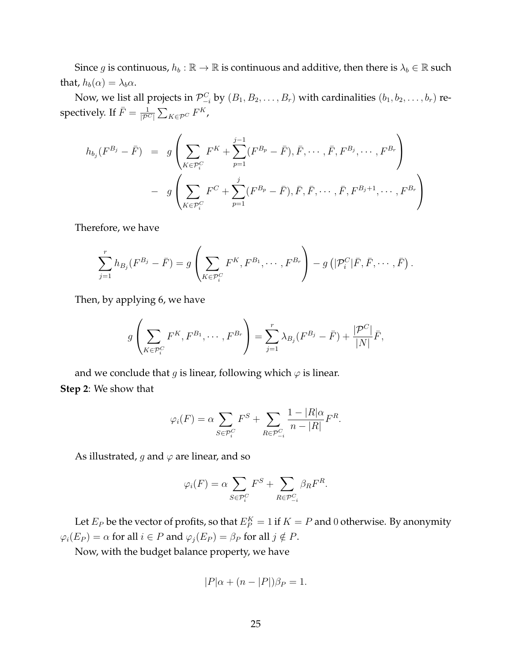Since g is continuous,  $h_b : \mathbb{R} \to \mathbb{R}$  is continuous and additive, then there is  $\lambda_b \in \mathbb{R}$  such that,  $h_b(\alpha) = \lambda_b \alpha$ .

Now, we list all projects in  $\mathcal{P}_{-i}^C$  by  $(B_1, B_2, \ldots, B_r)$  with cardinalities  $(b_1, b_2, \ldots, b_r)$  respectively. If  $\bar{F} = \frac{1}{\mathcal{P}^{\alpha}}$  $\frac{1}{|\mathcal{P}^C|} \sum_{K\in \mathcal{P}^C} F^K$  ,

$$
h_{b_j}(F^{B_j} - \bar{F}) = g\left(\sum_{K \in \mathcal{P}_i^C} F^K + \sum_{p=1}^{j-1} (F^{B_p} - \bar{F}), \bar{F}, \cdots, \bar{F}, F^{B_j}, \cdots, F^{B_r}\right) - g\left(\sum_{K \in \mathcal{P}_i^C} F^C + \sum_{p=1}^j (F^{B_p} - \bar{F}), \bar{F}, \bar{F}, \cdots, \bar{F}, F^{B_j+1}, \cdots, F^{B_r}\right)
$$

Therefore, we have

$$
\sum_{j=1}^r h_{B_j}(F^{B_j}-\bar{F})=g\left(\sum_{K\in\mathcal{P}_i^C} F^K, F^{B_1},\cdots,F^{B_r}\right)-g\left(|\mathcal{P}_i^C|\bar{F},\bar{F},\cdots,\bar{F}\right).
$$

Then, by applying 6, we have

$$
g\left(\sum_{K \in \mathcal{P}_i^C} F^K, F^{B_1}, \cdots, F^{B_r}\right) = \sum_{j=1}^r \lambda_{B_j} (F^{B_j} - \bar{F}) + \frac{|\mathcal{P}^C|}{|N|} \bar{F},
$$

and we conclude that g is linear, following which  $\varphi$  is linear. **Step 2**: We show that

$$
\varphi_i(F) = \alpha \sum_{S \in \mathcal{P}_i^C} F^S + \sum_{R \in \mathcal{P}_{-i}^C} \frac{1 - |R|\alpha}{n - |R|} F^R.
$$

As illustrated, g and  $\varphi$  are linear, and so

$$
\varphi_i(F) = \alpha \sum_{S \in \mathcal{P}_i^C} F^S + \sum_{R \in \mathcal{P}_{-i}^C} \beta_R F^R.
$$

Let  $E_P$  be the vector of profits, so that  $E_P^K = 1$  if  $K = P$  and 0 otherwise. By anonymity  $\varphi_i(E_P) = \alpha$  for all  $i \in P$  and  $\varphi_i(E_P) = \beta_P$  for all  $j \notin P$ .

Now, with the budget balance property, we have

$$
|P|\alpha + (n - |P|)\beta_P = 1.
$$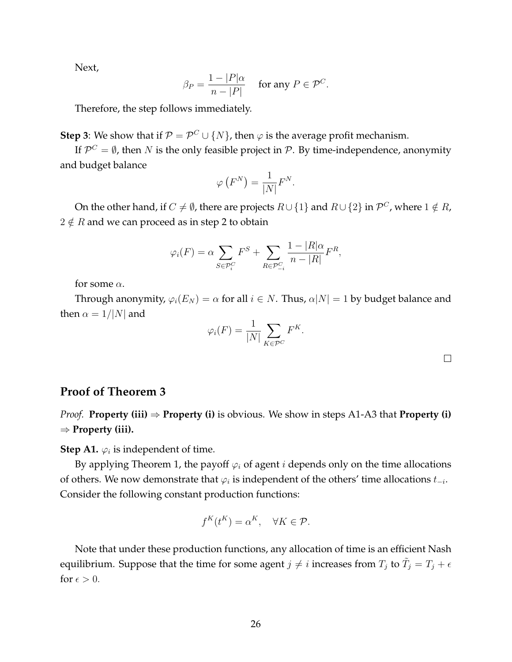Next,

$$
\beta_P = \frac{1 - |P|\alpha}{n - |P|} \quad \text{ for any } P \in \mathcal{P}^C.
$$

Therefore, the step follows immediately.

**Step 3**: We show that if  $P = P^C \cup \{N\}$ , then  $\varphi$  is the average profit mechanism.

If  $\mathcal{P}^C = \emptyset$ , then N is the only feasible project in P. By time-independence, anonymity and budget balance

$$
\varphi\left(F^{N}\right) = \frac{1}{|N|}F^{N}.
$$

On the other hand, if  $C\neq \emptyset$ , there are projects  $R\cup \{1\}$  and  $R\cup \{2\}$  in  $\mathcal{P}^C$ , where  $1\notin R$ ,  $2 \notin R$  and we can proceed as in step 2 to obtain

$$
\varphi_i(F) = \alpha \sum_{S \in \mathcal{P}_i^C} F^S + \sum_{R \in \mathcal{P}_{-i}^C} \frac{1 - |R|\alpha}{n - |R|} F^R,
$$

for some  $\alpha$ .

Through anonymity,  $\varphi_i(E_N) = \alpha$  for all  $i \in N$ . Thus,  $\alpha|N| = 1$  by budget balance and then  $\alpha = 1/|N|$  and

$$
\varphi_i(F) = \frac{1}{|N|} \sum_{K \in \mathcal{P}^C} F^K.
$$

**Proof of Theorem 3**

*Proof.* **Property (iii)** ⇒ **Property (i)** is obvious. We show in steps A1-A3 that **Property (i)** ⇒ **Property (iii).**

**Step A1.**  $\varphi_i$  is independent of time.

By applying Theorem 1, the payoff  $\varphi_i$  of agent *i* depends only on the time allocations of others. We now demonstrate that  $\varphi_i$  is independent of the others' time allocations  $t_{-i}$ . Consider the following constant production functions:

$$
f^K(t^K) = \alpha^K, \quad \forall K \in \mathcal{P}.
$$

Note that under these production functions, any allocation of time is an efficient Nash equilibrium. Suppose that the time for some agent  $j\neq i$  increases from  $T_j$  to  $\tilde T_j=T_j+\epsilon$ for  $\epsilon > 0$ .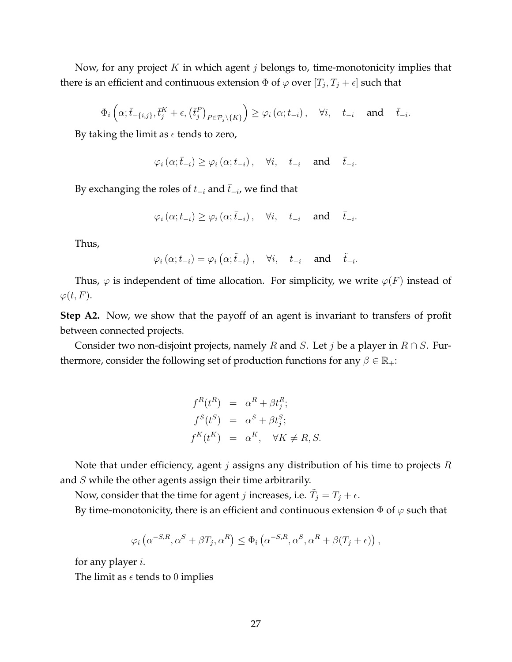Now, for any project  $K$  in which agent  $j$  belongs to, time-monotonicity implies that there is an efficient and continuous extension  $\Phi$  of  $\varphi$  over  $[T_j,T_j+\epsilon]$  such that

$$
\Phi_i\left(\alpha;\bar{t}_{-\{i,j\}},\bar{t}_j^K+\epsilon,\left(\bar{t}_j^P\right)_{P\in\mathcal{P}_j\setminus\{K\}}\right)\geq\varphi_i\left(\alpha;t_{-i}\right),\quad\forall i,\quad t_{-i}\quad\text{ and }\quad\bar{t}_{-i}.
$$

By taking the limit as  $\epsilon$  tends to zero,

$$
\varphi_i(\alpha; \overline{t}_{-i}) \geq \varphi_i(\alpha; t_{-i}), \quad \forall i, \quad t_{-i} \quad \text{and} \quad \overline{t}_{-i}.
$$

By exchanging the roles of  $t_{-i}$  and  $\bar{t}_{-i}$ , we find that

$$
\varphi_i(\alpha; t_{-i}) \ge \varphi_i(\alpha; \overline{t}_{-i}), \quad \forall i, \quad t_{-i} \quad \text{and} \quad \overline{t}_{-i}.
$$

Thus,

$$
\varphi_i(\alpha; t_{-i}) = \varphi_i(\alpha; \tilde{t}_{-i}), \quad \forall i, \quad t_{-i} \quad \text{and} \quad \tilde{t}_{-i}.
$$

Thus,  $\varphi$  is independent of time allocation. For simplicity, we write  $\varphi(F)$  instead of  $\varphi(t, F)$ .

**Step A2.** Now, we show that the payoff of an agent is invariant to transfers of profit between connected projects.

Consider two non-disjoint projects, namely R and S. Let j be a player in  $R \cap S$ . Furthermore, consider the following set of production functions for any  $\beta \in \mathbb{R}_+$ :

$$
f^{R}(t^{R}) = \alpha^{R} + \beta t_{j}^{R};
$$
  
\n
$$
f^{S}(t^{S}) = \alpha^{S} + \beta t_{j}^{S};
$$
  
\n
$$
f^{K}(t^{K}) = \alpha^{K}, \quad \forall K \neq R, S.
$$

Note that under efficiency, agent  $j$  assigns any distribution of his time to projects  $R$ and  $S$  while the other agents assign their time arbitrarily.

Now, consider that the time for agent  $j$  increases, i.e.  $\tilde{T}_j = T_j + \epsilon.$ 

By time-monotonicity, there is an efficient and continuous extension  $\Phi$  of  $\varphi$  such that

$$
\varphi_i\left(\alpha^{-S,R},\alpha^S+\beta T_j,\alpha^R\right)\leq \Phi_i\left(\alpha^{-S,R},\alpha^S,\alpha^R+\beta(T_j+\epsilon)\right),
$$

for any player  $i$ .

The limit as  $\epsilon$  tends to 0 implies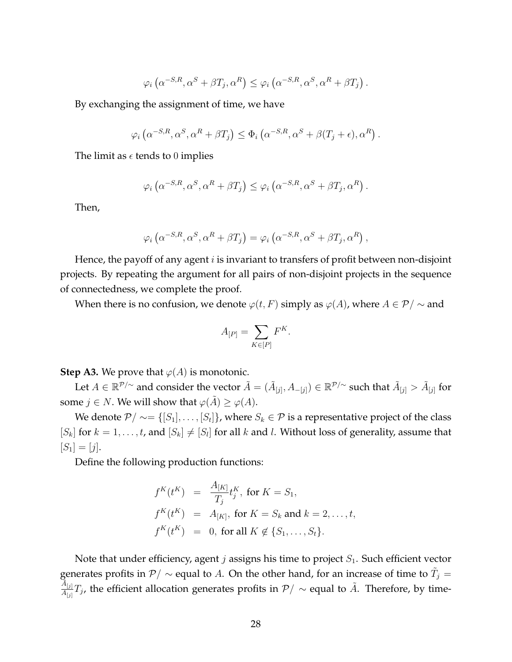$$
\varphi_i\left(\alpha^{-S,R},\alpha^S+\beta T_j,\alpha^R\right)\leq \varphi_i\left(\alpha^{-S,R},\alpha^S,\alpha^R+\beta T_j\right).
$$

By exchanging the assignment of time, we have

$$
\varphi_i\left(\alpha^{-S,R},\alpha^S,\alpha^R+\beta T_j\right)\leq \Phi_i\left(\alpha^{-S,R},\alpha^S+\beta(T_j+\epsilon),\alpha^R\right).
$$

The limit as  $\epsilon$  tends to 0 implies

$$
\varphi_i\left(\alpha^{-S,R}, \alpha^S, \alpha^R + \beta T_j\right) \leq \varphi_i\left(\alpha^{-S,R}, \alpha^S + \beta T_j, \alpha^R\right)
$$

.

Then,

$$
\varphi_i\left(\alpha^{-S,R},\alpha^S,\alpha^R+\beta T_j\right)=\varphi_i\left(\alpha^{-S,R},\alpha^S+\beta T_j,\alpha^R\right),
$$

Hence, the payoff of any agent  $i$  is invariant to transfers of profit between non-disjoint projects. By repeating the argument for all pairs of non-disjoint projects in the sequence of connectedness, we complete the proof.

When there is no confusion, we denote  $\varphi(t, F)$  simply as  $\varphi(A)$ , where  $A \in \mathcal{P}/\sim$  and

$$
A_{[P]} = \sum_{K \in [P]} F^K.
$$

**Step A3.** We prove that  $\varphi(A)$  is monotonic.

Let  $A\in\mathbb{R}^{\mathcal{P}/\sim}$  and consider the vector  $\tilde{A}=(\tilde{A}_{[j]},A_{-[j]})\in\mathbb{R}^{\mathcal{P}/\sim}$  such that  $\tilde{A}_{[j]}>\tilde{A}_{[j]}$  for some  $j \in N$ . We will show that  $\varphi(\tilde{A}) \geq \varphi(A)$ .

We denote  $\mathcal{P}/\sim=\{[S_1],\ldots,[S_t]\}$ , where  $S_k\in\mathcal{P}$  is a representative project of the class  $[S_k]$  for  $k = 1, \ldots, t$ , and  $[S_k] \neq [S_l]$  for all k and l. Without loss of generality, assume that  $[S_1] = [j].$ 

Define the following production functions:

$$
f^{K}(t^{K}) = \frac{A_{[K]}}{T_{j}} t_{j}^{K}, \text{ for } K = S_{1},
$$
  
\n
$$
f^{K}(t^{K}) = A_{[K]}, \text{ for } K = S_{k} \text{ and } k = 2, ..., t,
$$
  
\n
$$
f^{K}(t^{K}) = 0, \text{ for all } K \notin \{S_{1}, ..., S_{t}\}.
$$

Note that under efficiency, agent  $j$  assigns his time to project  $S_1$ . Such efficient vector generates profits in  $\mathcal{P}/\sim$  equal to  $A.$  On the other hand, for an increase of time to  $\tilde{T}_j=0$  $\tilde{A}_{[j]}T_j$ , the efficient allocation generates profits in  $\mathcal{P}/\sim$  equal to  $\tilde{A}$ . Therefore, by time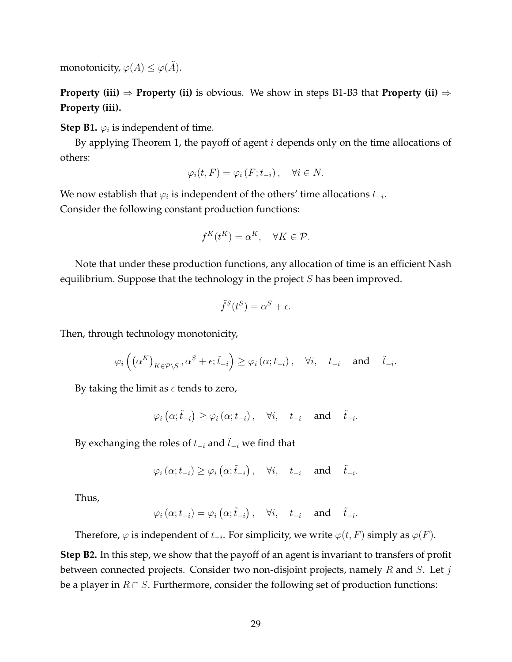monotonicity,  $\varphi(A) \leq \varphi(\tilde{A})$ .

**Property (iii)** ⇒ **Property (ii)** is obvious. We show in steps B1-B3 that **Property (ii)** ⇒ **Property (iii).**

**Step B1.**  $\varphi_i$  is independent of time.

By applying Theorem 1, the payoff of agent  $i$  depends only on the time allocations of others:

 $\varphi_i(t, F) = \varphi_i(F; t_{-i}), \quad \forall i \in N.$ 

We now establish that  $\varphi_i$  is independent of the others' time allocations  $t_{-i}.$ Consider the following constant production functions:

$$
f^K(t^K) = \alpha^K, \quad \forall K \in \mathcal{P}.
$$

Note that under these production functions, any allocation of time is an efficient Nash equilibrium. Suppose that the technology in the project S has been improved.

$$
\tilde{f}^S(t^S) = \alpha^S + \epsilon.
$$

Then, through technology monotonicity,

$$
\varphi_i\left(\left(\alpha^K\right)_{K\in\mathcal{P}\setminus S},\alpha^S+\epsilon;\tilde{t}_{-i}\right)\geq\varphi_i\left(\alpha;t_{-i}\right),\quad\forall i,\quad t_{-i}\quad\text{ and }\quad\tilde{t}_{-i}.
$$

By taking the limit as  $\epsilon$  tends to zero,

$$
\varphi_{i}\left(\alpha;\tilde{t}_{-i}\right)\geq \varphi_{i}\left(\alpha;t_{-i}\right),\quad\forall i,\quad t_{-i}\quad\text{ and }\quad\tilde{t}_{-i}.
$$

By exchanging the roles of  $t_{-i}$  and  $\tilde{t}_{-i}$  we find that

$$
\varphi_{i}\left(\alpha; t_{-i}\right) \geq \varphi_{i}\left(\alpha; \tilde{t}_{-i}\right), \quad \forall i, \quad t_{-i} \quad \text{ and } \quad \tilde{t}_{-i}.
$$

Thus,

$$
\varphi_{i}\left(\alpha; t_{-i}\right)=\varphi_{i}\left(\alpha; \tilde{t}_{-i}\right), \quad \forall i, \quad t_{-i} \quad \text{ and } \quad \tilde{t}_{-i}.
$$

Therefore,  $\varphi$  is independent of  $t_{-i}$ . For simplicity, we write  $\varphi(t, F)$  simply as  $\varphi(F)$ .

**Step B2.** In this step, we show that the payoff of an agent is invariant to transfers of profit between connected projects. Consider two non-disjoint projects, namely  $R$  and  $S$ . Let  $j$ be a player in  $R \cap S$ . Furthermore, consider the following set of production functions: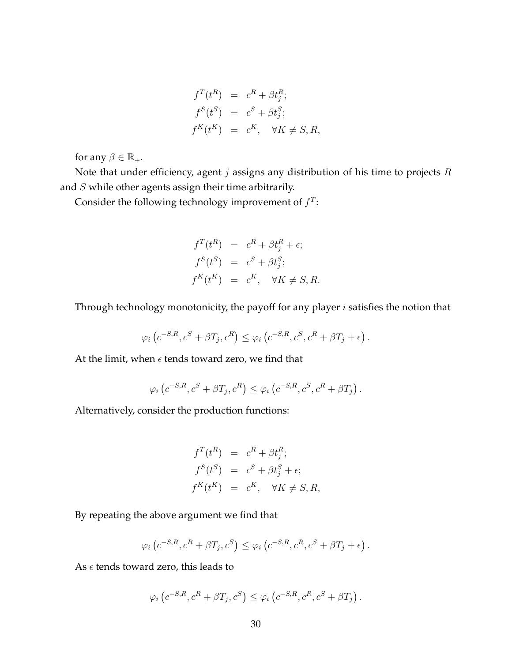$$
f^{T}(t^{R}) = c^{R} + \beta t_{j}^{R};
$$
  
\n
$$
f^{S}(t^{S}) = c^{S} + \beta t_{j}^{S};
$$
  
\n
$$
f^{K}(t^{K}) = c^{K}, \quad \forall K \neq S, R,
$$

for any  $\beta \in \mathbb{R}_+$ .

Note that under efficiency, agent  $j$  assigns any distribution of his time to projects  $R$ and *S* while other agents assign their time arbitrarily.

Consider the following technology improvement of  $f^T$ :

$$
f^{T}(t^{R}) = c^{R} + \beta t_{j}^{R} + \epsilon;
$$
  
\n
$$
f^{S}(t^{S}) = c^{S} + \beta t_{j}^{S};
$$
  
\n
$$
f^{K}(t^{K}) = c^{K}, \quad \forall K \neq S, R.
$$

Through technology monotonicity, the payoff for any player  $i$  satisfies the notion that

$$
\varphi_i\left(c^{-S,R},c^S+\beta T_j,c^R\right)\leq \varphi_i\left(c^{-S,R},c^S,c^R+\beta T_j+\epsilon\right).
$$

At the limit, when  $\epsilon$  tends toward zero, we find that

$$
\varphi_i\left(c^{-S,R}, c^S + \beta T_j, c^R\right) \leq \varphi_i\left(c^{-S,R}, c^S, c^R + \beta T_j\right).
$$

Alternatively, consider the production functions:

$$
f^{T}(t^{R}) = c^{R} + \beta t_{j}^{R};
$$
  
\n
$$
f^{S}(t^{S}) = c^{S} + \beta t_{j}^{S} + \epsilon;
$$
  
\n
$$
f^{K}(t^{K}) = c^{K}, \quad \forall K \neq S, R,
$$

By repeating the above argument we find that

$$
\varphi_i\left(c^{-S,R},c^R+\beta T_j,c^S\right)\leq \varphi_i\left(c^{-S,R},c^R,c^S+\beta T_j+\epsilon\right).
$$

As  $\epsilon$  tends toward zero, this leads to

$$
\varphi_i\left(c^{-S,R},c^R+\beta T_j,c^S\right)\leq \varphi_i\left(c^{-S,R},c^R,c^S+\beta T_j\right).
$$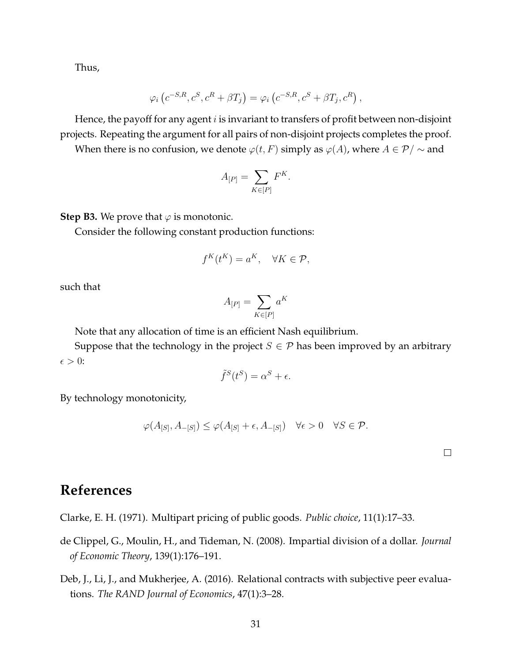Thus,

$$
\varphi_i\left(c^{-S,R},c^S,c^R+\beta T_j\right)=\varphi_i\left(c^{-S,R},c^S+\beta T_j,c^R\right),
$$

Hence, the payoff for any agent  $i$  is invariant to transfers of profit between non-disjoint projects. Repeating the argument for all pairs of non-disjoint projects completes the proof.

When there is no confusion, we denote  $\varphi(t, F)$  simply as  $\varphi(A)$ , where  $A \in \mathcal{P}/\sim$  and

$$
A_{[P]} = \sum_{K \in [P]} F^K.
$$

**Step B3.** We prove that  $\varphi$  is monotonic.

Consider the following constant production functions:

$$
f^K(t^K) = a^K, \quad \forall K \in \mathcal{P},
$$

such that

$$
A_{[P]} = \sum_{K \in [P]} a^K
$$

Note that any allocation of time is an efficient Nash equilibrium.

Suppose that the technology in the project  $S \in \mathcal{P}$  has been improved by an arbitrary  $\epsilon > 0$ :

$$
\tilde{f}^S(t^S) = \alpha^S + \epsilon.
$$

By technology monotonicity,

$$
\varphi(A_{[S]}, A_{-[S]}) \leq \varphi(A_{[S]} + \epsilon, A_{-[S]}) \quad \forall \epsilon > 0 \quad \forall S \in \mathcal{P}.
$$

 $\Box$ 

# **References**

Clarke, E. H. (1971). Multipart pricing of public goods. *Public choice*, 11(1):17–33.

- de Clippel, G., Moulin, H., and Tideman, N. (2008). Impartial division of a dollar. *Journal of Economic Theory*, 139(1):176–191.
- Deb, J., Li, J., and Mukherjee, A. (2016). Relational contracts with subjective peer evaluations. *The RAND Journal of Economics*, 47(1):3–28.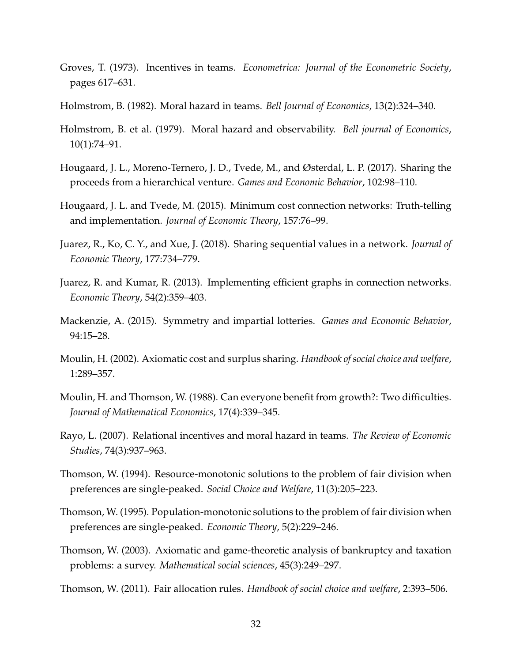- Groves, T. (1973). Incentives in teams. *Econometrica: Journal of the Econometric Society*, pages 617–631.
- Holmstrom, B. (1982). Moral hazard in teams. *Bell Journal of Economics*, 13(2):324–340.
- Holmstrom, B. et al. (1979). Moral hazard and observability. *Bell journal of Economics*, 10(1):74–91.
- Hougaard, J. L., Moreno-Ternero, J. D., Tvede, M., and Østerdal, L. P. (2017). Sharing the proceeds from a hierarchical venture. *Games and Economic Behavior*, 102:98–110.
- Hougaard, J. L. and Tvede, M. (2015). Minimum cost connection networks: Truth-telling and implementation. *Journal of Economic Theory*, 157:76–99.
- Juarez, R., Ko, C. Y., and Xue, J. (2018). Sharing sequential values in a network. *Journal of Economic Theory*, 177:734–779.
- Juarez, R. and Kumar, R. (2013). Implementing efficient graphs in connection networks. *Economic Theory*, 54(2):359–403.
- Mackenzie, A. (2015). Symmetry and impartial lotteries. *Games and Economic Behavior*, 94:15–28.
- Moulin, H. (2002). Axiomatic cost and surplus sharing. *Handbook of social choice and welfare*, 1:289–357.
- Moulin, H. and Thomson, W. (1988). Can everyone benefit from growth?: Two difficulties. *Journal of Mathematical Economics*, 17(4):339–345.
- Rayo, L. (2007). Relational incentives and moral hazard in teams. *The Review of Economic Studies*, 74(3):937–963.
- Thomson, W. (1994). Resource-monotonic solutions to the problem of fair division when preferences are single-peaked. *Social Choice and Welfare*, 11(3):205–223.
- Thomson, W. (1995). Population-monotonic solutions to the problem of fair division when preferences are single-peaked. *Economic Theory*, 5(2):229–246.
- Thomson, W. (2003). Axiomatic and game-theoretic analysis of bankruptcy and taxation problems: a survey. *Mathematical social sciences*, 45(3):249–297.
- Thomson, W. (2011). Fair allocation rules. *Handbook of social choice and welfare*, 2:393–506.